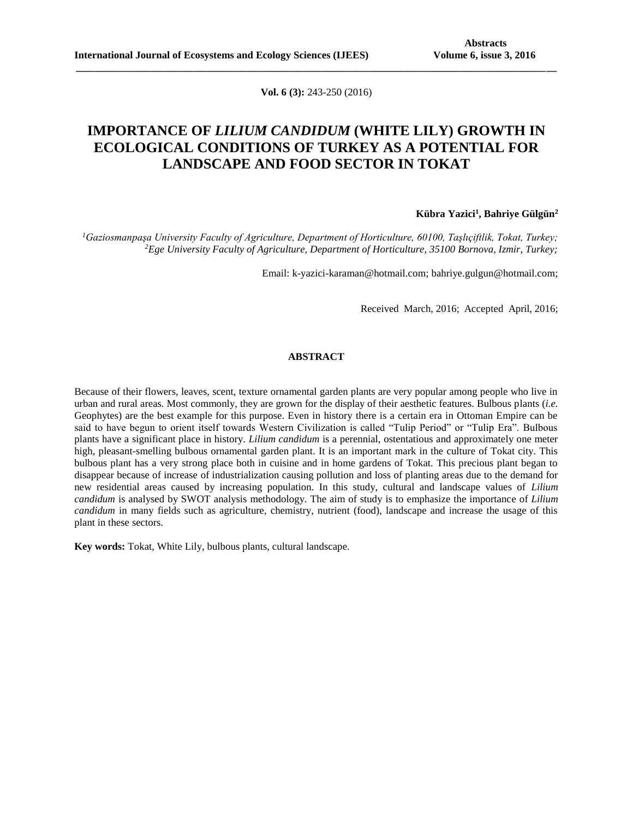**Vol. 6 (3):** 243-250 (2016)

**\_\_\_\_\_\_\_\_\_\_\_\_\_\_\_\_\_\_\_\_\_\_\_\_\_\_\_\_\_\_\_\_\_\_\_\_\_\_\_\_\_\_\_\_\_\_\_\_\_\_\_\_\_\_\_\_\_\_\_\_\_\_\_\_\_\_\_\_\_\_\_\_\_\_\_\_\_\_\_\_\_\_\_\_\_\_\_\_\_\_\_\_\_**

# **IMPORTANCE OF** *LILIUM CANDIDUM* **(WHITE LILY) GROWTH IN ECOLOGICAL CONDITIONS OF TURKEY AS A POTENTIAL FOR LANDSCAPE AND FOOD SECTOR IN TOKAT**

## **Kübra Yazici<sup>1</sup> , Bahriye Gülgün<sup>2</sup>**

*<sup>1</sup>Gaziosmanpaşa University Faculty of Agriculture, Department of Horticulture, 60100, Taşlıçiftlik, Tokat, Turkey; <sup>2</sup>Ege University Faculty of Agriculture, Department of Horticulture, 35100 Bornova, Izmir, Turkey;*

Email: k-yazici-karaman@hotmail.com; bahriye.gulgun@hotmail.com;

Received March, 2016; Accepted April, 2016;

### **ABSTRACT**

Because of their flowers, leaves, scent, texture ornamental garden plants are very popular among people who live in urban and rural areas. Most commonly, they are grown for the display of their aesthetic features. Bulbous plants (*i.e.* Geophytes) are the best example for this purpose. Even in history there is a certain era in Ottoman Empire can be said to have begun to orient itself towards Western Civilization is called "Tulip Period" or "Tulip Era". Bulbous plants have a significant place in history. *Lilium candidum* is a perennial, [ostentatious](http://tureng.com/search/ostentatious) and approximately one meter high, [pleasant-smelling](http://tureng.com/search/pleasant-smelling) bulbous ornamental garden plant. It is an important mark in the culture of Tokat city. This bulbous plant has a very strong place both in cuisine and in home gardens of Tokat. This precious plant began to disappear because of increase of industrialization causing pollution and loss of planting areas due to the demand for new residential areas caused by increasing population. In this study, cultural and landscape values of *Lilium candidum* is analysed by SWOT analysis methodology. The aim of study is to emphasize the importance of *Lilium candidum* in many fields such as agriculture, chemistry, nutrient (food), landscape and increase the usage of this plant in these sectors.

**Key words:** Tokat, White Lily, bulbous plants, cultural landscape.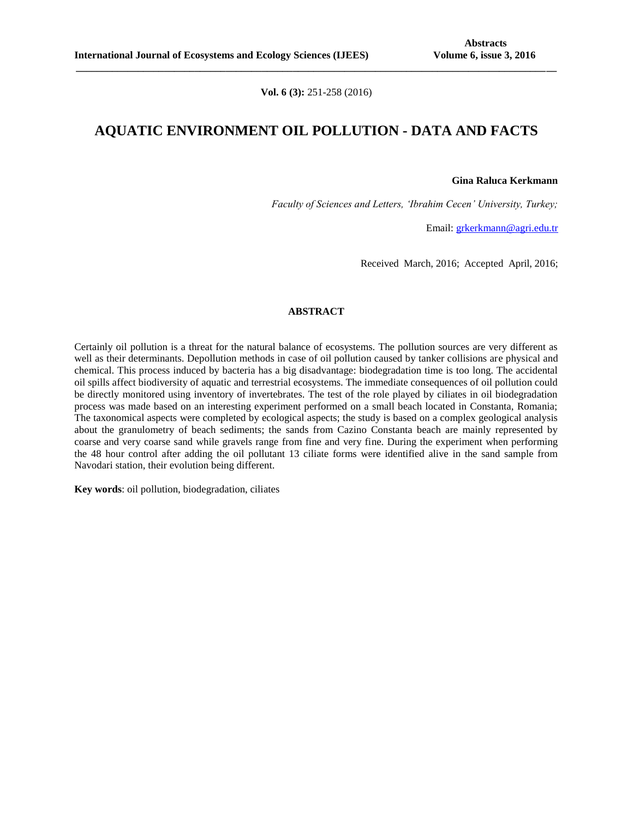**Vol. 6 (3):** 251-258 (2016)

**\_\_\_\_\_\_\_\_\_\_\_\_\_\_\_\_\_\_\_\_\_\_\_\_\_\_\_\_\_\_\_\_\_\_\_\_\_\_\_\_\_\_\_\_\_\_\_\_\_\_\_\_\_\_\_\_\_\_\_\_\_\_\_\_\_\_\_\_\_\_\_\_\_\_\_\_\_\_\_\_\_\_\_\_\_\_\_\_\_\_\_\_\_**

## **AQUATIC ENVIRONMENT OIL POLLUTION - DATA AND FACTS**

**Gina Raluca Kerkmann**

*Faculty of Sciences and Letters, 'Ibrahim Cecen' University, Turkey;*

Email: [grkerkmann@agri.edu.tr](mailto:grkerkmann@agri.edu.tr)

Received March, 2016; Accepted April, 2016;

### **ABSTRACT**

Certainly oil pollution is a threat for the natural balance of ecosystems. The pollution sources are very different as well as their determinants. Depollution methods in case of oil pollution caused by tanker collisions are physical and chemical. This process induced by bacteria has a big disadvantage: biodegradation time is too long. The accidental oil spills affect biodiversity of aquatic and terrestrial ecosystems. The immediate consequences of oil pollution could be directly monitored using inventory of invertebrates. The test of the role played by ciliates in oil biodegradation process was made based on an interesting experiment performed on a small beach located in Constanta, Romania; The taxonomical aspects were completed by ecological aspects; the study is based on a complex geological analysis about the granulometry of beach sediments; the sands from Cazino Constanta beach are mainly represented by coarse and very coarse sand while gravels range from fine and very fine. During the experiment when performing the 48 hour control after adding the oil pollutant 13 ciliate forms were identified alive in the sand sample from Navodari station, their evolution being different.

**Key words**: oil pollution, biodegradation, ciliates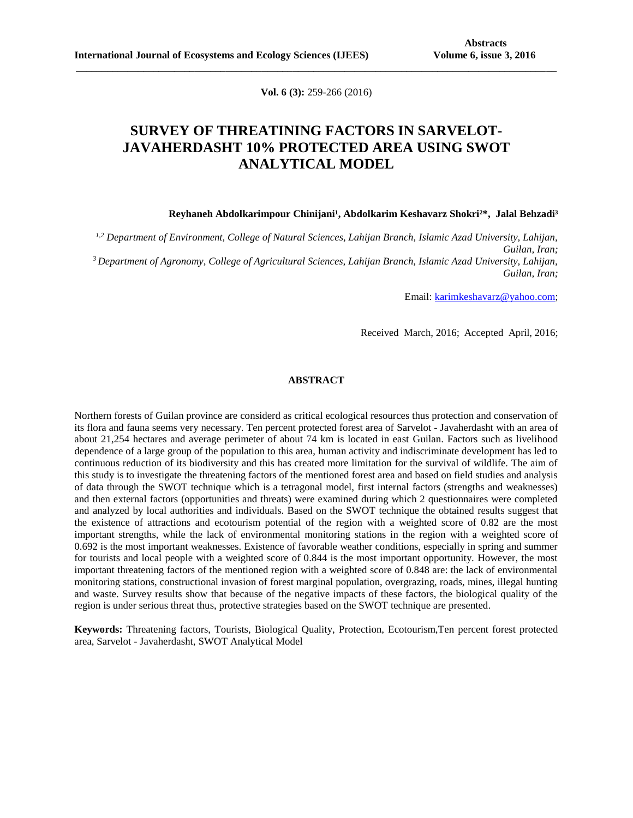**Vol. 6 (3):** 259-266 (2016)

**\_\_\_\_\_\_\_\_\_\_\_\_\_\_\_\_\_\_\_\_\_\_\_\_\_\_\_\_\_\_\_\_\_\_\_\_\_\_\_\_\_\_\_\_\_\_\_\_\_\_\_\_\_\_\_\_\_\_\_\_\_\_\_\_\_\_\_\_\_\_\_\_\_\_\_\_\_\_\_\_\_\_\_\_\_\_\_\_\_\_\_\_\_**

# **SURVEY OF THREATINING FACTORS IN SARVELOT-JAVAHERDASHT 10% PROTECTED AREA USING SWOT ANALYTICAL MODEL**

#### Reyhaneh Abdolkarimpour Chinijani<sup>1</sup>, Abdolkarim Keshavarz Shokri<sup>2\*</sup>, Jalal Behzadi<sup>3</sup>

*1,2 Department of Environment, College of Natural Sciences, Lahijan Branch, Islamic Azad University, Lahijan, Guilan, Iran; <sup>3</sup>Department of Agronomy, College of Agricultural Sciences, Lahijan Branch, Islamic Azad University, Lahijan, Guilan, Iran;*

Email[: karimkeshavarz@yahoo.com;](mailto:karimkeshavarz@yahoo.com)

Received March, 2016; Accepted April, 2016;

### **ABSTRACT**

Northern forests of Guilan province are considerd as critical ecological resources thus protection and conservation of its flora and fauna seems very necessary. Ten percent protected forest area of Sarvelot - Javaherdasht with an area of about 21,254 hectares and average perimeter of about 74 km is located in east Guilan. Factors such as livelihood dependence of a large group of the population to this area, human activity and indiscriminate development has led to continuous reduction of its biodiversity and this has created more limitation for the survival of wildlife. The aim of this study is to investigate the threatening factors of the mentioned forest area and based on field studies and analysis of data through the SWOT technique which is a tetragonal model, first internal factors (strengths and weaknesses) and then external factors (opportunities and threats) were examined during which 2 questionnaires were completed and analyzed by local authorities and individuals. Based on the SWOT technique the obtained results suggest that the existence of attractions and ecotourism potential of the region with a weighted score of 0.82 are the most important strengths, while the lack of environmental monitoring stations in the region with a weighted score of 0.692 is the most important weaknesses. Existence of favorable weather conditions, especially in spring and summer for tourists and local people with a weighted score of 0.844 is the most important opportunity. However, the most important threatening factors of the mentioned region with a weighted score of 0.848 are: the lack of environmental monitoring stations, constructional invasion of forest marginal population, overgrazing, roads, mines, illegal hunting and waste. Survey results show that because of the negative impacts of these factors, the biological quality of the region is under serious threat thus, protective strategies based on the SWOT technique are presented.

**Keywords:** Threatening factors, Tourists, Biological Quality, Protection, Ecotourism,Ten percent forest protected area, Sarvelot - Javaherdasht, SWOT Analytical Model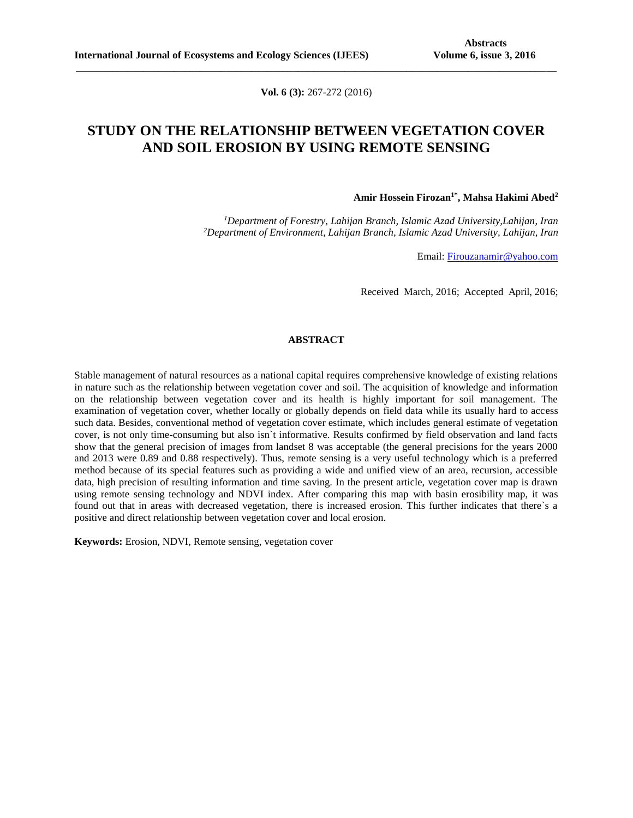**Vol. 6 (3):** 267-272 (2016)

**\_\_\_\_\_\_\_\_\_\_\_\_\_\_\_\_\_\_\_\_\_\_\_\_\_\_\_\_\_\_\_\_\_\_\_\_\_\_\_\_\_\_\_\_\_\_\_\_\_\_\_\_\_\_\_\_\_\_\_\_\_\_\_\_\_\_\_\_\_\_\_\_\_\_\_\_\_\_\_\_\_\_\_\_\_\_\_\_\_\_\_\_\_**

## **STUDY ON THE RELATIONSHIP BETWEEN VEGETATION COVER AND SOIL EROSION BY USING REMOTE SENSING**

#### **Amir Hossein Firozan1\*, Mahsa Hakimi Abed<sup>2</sup>**

*<sup>1</sup>Department of Forestry, Lahijan Branch, Islamic Azad University,Lahijan, Iran <sup>2</sup>Department of Environment, Lahijan Branch, Islamic Azad University, Lahijan, Iran*

Email: [Firouzanamir@yahoo.com](mailto:Firouzanamir@yahoo.com)

Received March, 2016; Accepted April, 2016;

### **ABSTRACT**

Stable management of natural resources as a national capital requires comprehensive knowledge of existing relations in nature such as the relationship between vegetation cover and soil. The acquisition of knowledge and information on the relationship between vegetation cover and its health is highly important for soil management. The examination of vegetation cover, whether locally or globally depends on field data while its usually hard to access such data. Besides, conventional method of vegetation cover estimate, which includes general estimate of vegetation cover, is not only time-consuming but also isn`t informative. Results confirmed by field observation and land facts show that the general precision of images from landset 8 was acceptable (the general precisions for the years 2000 and 2013 were 0.89 and 0.88 respectively). Thus, remote sensing is a very useful technology which is a preferred method because of its special features such as providing a wide and unified view of an area, recursion, accessible data, high precision of resulting information and time saving. In the present article, vegetation cover map is drawn using remote sensing technology and NDVI index. After comparing this map with basin erosibility map, it was found out that in areas with decreased vegetation, there is increased erosion. This further indicates that there`s a positive and direct relationship between vegetation cover and local erosion.

**Keywords:** Erosion, NDVI, Remote sensing, vegetation cover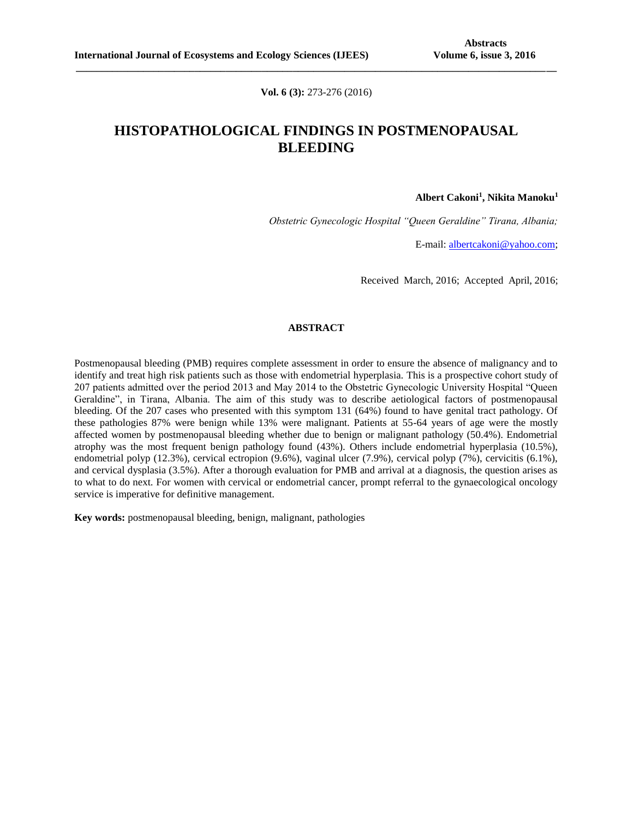**Vol. 6 (3):** 273-276 (2016)

**\_\_\_\_\_\_\_\_\_\_\_\_\_\_\_\_\_\_\_\_\_\_\_\_\_\_\_\_\_\_\_\_\_\_\_\_\_\_\_\_\_\_\_\_\_\_\_\_\_\_\_\_\_\_\_\_\_\_\_\_\_\_\_\_\_\_\_\_\_\_\_\_\_\_\_\_\_\_\_\_\_\_\_\_\_\_\_\_\_\_\_\_\_**

# **HISTOPATHOLOGICAL FINDINGS IN POSTMENOPAUSAL BLEEDING**

**Albert Cakoni<sup>1</sup> , Nikita Manoku<sup>1</sup>**

*Obstetric Gynecologic Hospital "Queen Geraldine" Tirana, Albania;* 

E-mail: [albertcakoni@yahoo.com;](mailto:albertcakoni@yahoo.com)

Received March, 2016; Accepted April, 2016;

### **ABSTRACT**

Postmenopausal bleeding (PMB) requires complete assessment in order to ensure the absence of malignancy and to identify and treat high risk patients such as those with endometrial hyperplasia. This is a prospective cohort study of 207 patients admitted over the period 2013 and May 2014 to the Obstetric Gynecologic University Hospital "Queen Geraldine", in Tirana, Albania. The aim of this study was to describe aetiological factors of postmenopausal bleeding. Of the 207 cases who presented with this symptom 131 (64%) found to have genital tract pathology. Of these pathologies 87% were benign while 13% were malignant. Patients at 55-64 years of age were the mostly affected women by postmenopausal bleeding whether due to benign or malignant pathology (50.4%). Endometrial atrophy was the most frequent benign pathology found (43%). Others include endometrial hyperplasia (10.5%), endometrial polyp (12.3%), cervical ectropion (9.6%), vaginal ulcer (7.9%), cervical polyp (7%), cervicitis (6.1%), and cervical dysplasia (3.5%). After a thorough evaluation for PMB and arrival at a diagnosis, the question arises as to what to do next. For women with cervical or endometrial cancer, prompt referral to the gynaecological oncology service is imperative for definitive management.

**Key words:** postmenopausal bleeding, benign, malignant, pathologies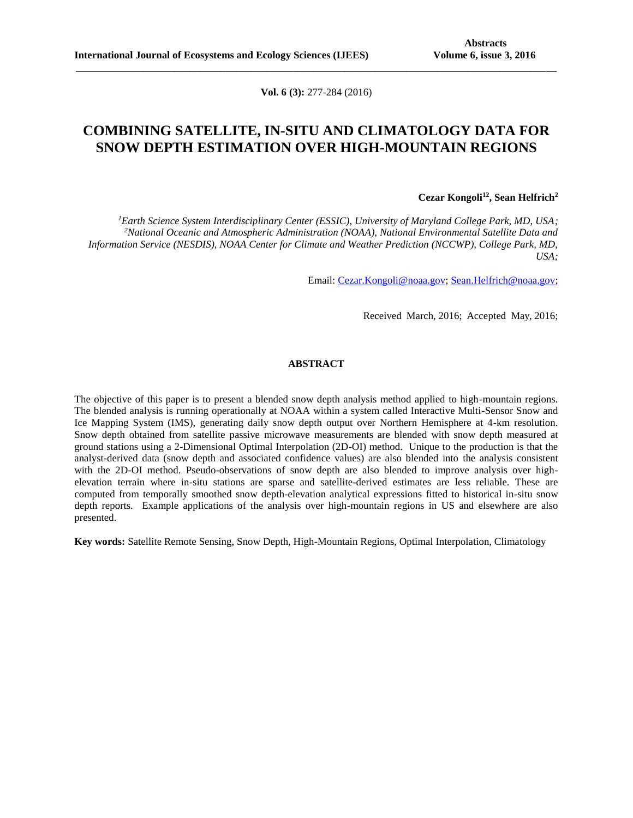**Vol. 6 (3):** 277-284 (2016)

**\_\_\_\_\_\_\_\_\_\_\_\_\_\_\_\_\_\_\_\_\_\_\_\_\_\_\_\_\_\_\_\_\_\_\_\_\_\_\_\_\_\_\_\_\_\_\_\_\_\_\_\_\_\_\_\_\_\_\_\_\_\_\_\_\_\_\_\_\_\_\_\_\_\_\_\_\_\_\_\_\_\_\_\_\_\_\_\_\_\_\_\_\_**

## **COMBINING SATELLITE, IN-SITU AND CLIMATOLOGY DATA FOR SNOW DEPTH ESTIMATION OVER HIGH-MOUNTAIN REGIONS**

### **Cezar Kongoli<sup>12</sup>, Sean Helfrich<sup>2</sup>**

*<sup>1</sup>Earth Science System Interdisciplinary Center (ESSIC), University of Maryland College Park, MD, USA; <sup>2</sup>National Oceanic and Atmospheric Administration (NOAA), National Environmental Satellite Data and Information Service (NESDIS), NOAA Center for Climate and Weather Prediction (NCCWP), College Park, MD, USA;*

Email: [Cezar.Kongoli@noaa.gov;](mailto:Cezar.Kongoli@noaa.gov) [Sean.Helfrich@noaa.gov;](mailto:Sean.Helfrich@noaa.gov)

Received March, 2016; Accepted May, 2016;

## **ABSTRACT**

The objective of this paper is to present a blended snow depth analysis method applied to high-mountain regions. The blended analysis is running operationally at NOAA within a system called Interactive Multi-Sensor Snow and Ice Mapping System (IMS), generating daily snow depth output over Northern Hemisphere at 4-km resolution. Snow depth obtained from satellite passive microwave measurements are blended with snow depth measured at ground stations using a 2-Dimensional Optimal Interpolation (2D-OI) method. Unique to the production is that the analyst-derived data (snow depth and associated confidence values) are also blended into the analysis consistent with the 2D-OI method. Pseudo-observations of snow depth are also blended to improve analysis over highelevation terrain where in-situ stations are sparse and satellite-derived estimates are less reliable. These are computed from temporally smoothed snow depth-elevation analytical expressions fitted to historical in-situ snow depth reports. Example applications of the analysis over high-mountain regions in US and elsewhere are also presented.

**Key words:** Satellite Remote Sensing, Snow Depth, High-Mountain Regions, Optimal Interpolation, Climatology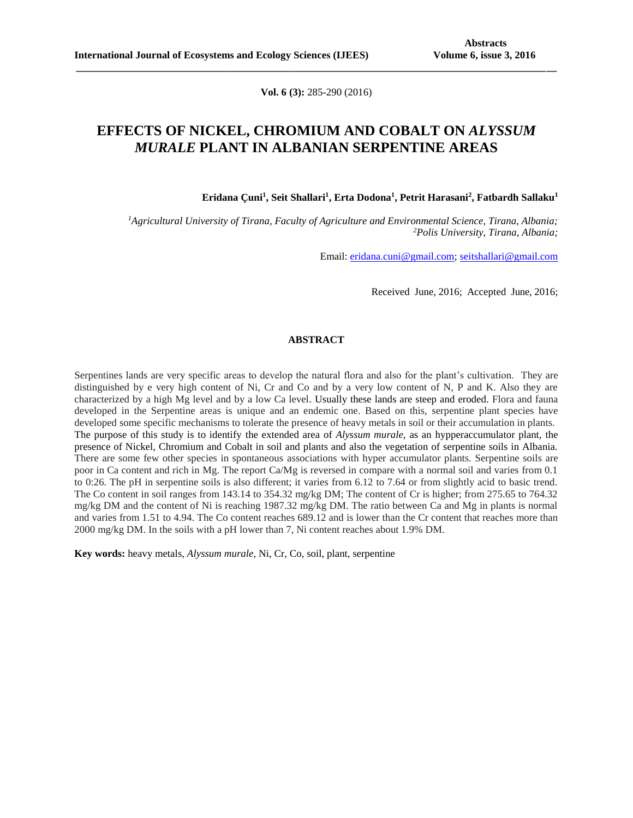**Vol. 6 (3):** 285-290 (2016)

**\_\_\_\_\_\_\_\_\_\_\_\_\_\_\_\_\_\_\_\_\_\_\_\_\_\_\_\_\_\_\_\_\_\_\_\_\_\_\_\_\_\_\_\_\_\_\_\_\_\_\_\_\_\_\_\_\_\_\_\_\_\_\_\_\_\_\_\_\_\_\_\_\_\_\_\_\_\_\_\_\_\_\_\_\_\_\_\_\_\_\_\_\_**

## **EFFECTS OF NICKEL, CHROMIUM AND COBALT ON** *ALYSSUM MURALE* **PLANT IN ALBANIAN SERPENTINE AREAS**

**Eridana Çuni<sup>1</sup> , Seit Shallari<sup>1</sup> , Erta Dodona<sup>1</sup> , Petrit Harasani<sup>2</sup> , Fatbardh Sallaku<sup>1</sup>**

*<sup>1</sup>Agricultural University of Tirana, Faculty of Agriculture and Environmental Science, Tirana, Albania; <sup>2</sup>Polis University, Tirana, Albania;*

Email: [eridana.cuni@gmail.com;](mailto:eridana.cuni@gmail.com) [seitshallari@gmail.com](mailto:seitshallari@gmail.com)

Received June, 2016; Accepted June, 2016;

#### **ABSTRACT**

Serpentines lands are very specific areas to develop the natural flora and also for the plant's cultivation. They are distinguished by e very high content of Ni, Cr and Co and by a very low content of N, P and K. Also they are characterized by a high Mg level and by a low Ca level. Usually these lands are steep and eroded. Flora and fauna developed in the Serpentine areas is unique and an endemic one. Based on this, serpentine plant species have developed some specific mechanisms to tolerate the presence of heavy metals in soil or their accumulation in plants. The purpose of this study is to identify the extended area of *Alyssum murale*, as an hypperaccumulator plant, the presence of Nickel, Chromium and Cobalt in soil and plants and also the vegetation of serpentine soils in Albania. There are some few other species in spontaneous associations with hyper accumulator plants. Serpentine soils are poor in Ca content and rich in Mg. The report Ca/Mg is reversed in compare with a normal soil and varies from 0.1 to 0:26. The pH in serpentine soils is also different; it varies from 6.12 to 7.64 or from slightly acid to basic trend. The Co content in soil ranges from 143.14 to 354.32 mg/kg DM; The content of Cr is higher; from 275.65 to 764.32 mg/kg DM and the content of Ni is reaching 1987.32 mg/kg DM. The ratio between Ca and Mg in plants is normal and varies from 1.51 to 4.94. The Co content reaches 689.12 and is lower than the Cr content that reaches more than 2000 mg/kg DM. In the soils with a pH lower than 7, Ni content reaches about 1.9% DM.

**Key words:** heavy metals, *Alyssum murale*, Ni, Cr, Co, soil, plant, serpentine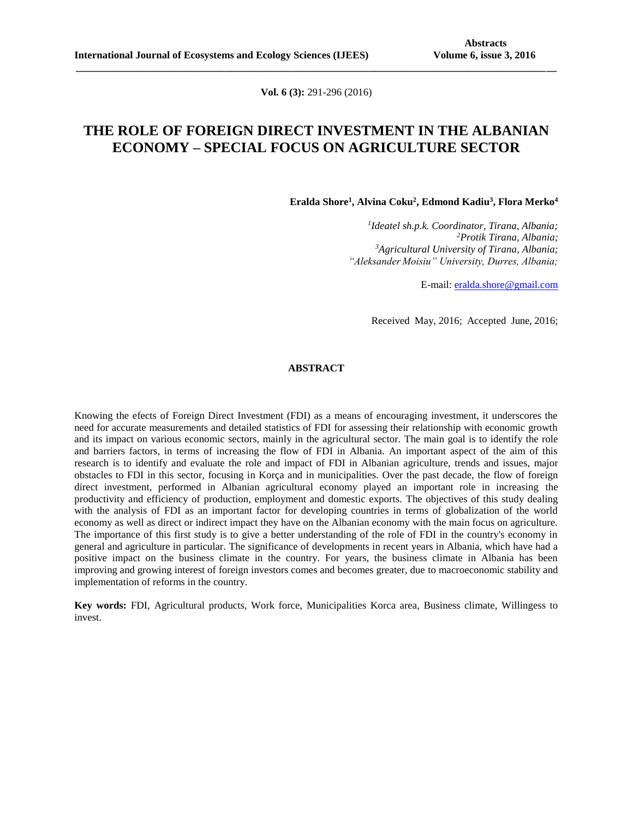**Vol. 6 (3):** 291-296 (2016)

**\_\_\_\_\_\_\_\_\_\_\_\_\_\_\_\_\_\_\_\_\_\_\_\_\_\_\_\_\_\_\_\_\_\_\_\_\_\_\_\_\_\_\_\_\_\_\_\_\_\_\_\_\_\_\_\_\_\_\_\_\_\_\_\_\_\_\_\_\_\_\_\_\_\_\_\_\_\_\_\_\_\_\_\_\_\_\_\_\_\_\_\_\_**

# **THE ROLE OF FOREIGN DIRECT INVESTMENT IN THE ALBANIAN ECONOMY – SPECIAL FOCUS ON AGRICULTURE SECTOR**

**Eralda Shore<sup>1</sup> , Alvina Coku<sup>2</sup> , Edmond Kadiu<sup>3</sup> , Flora Merko<sup>4</sup>**

 *Ideatel sh.p.k. Coordinator, Tirana, Albania; Protik Tirana, Albania; Agricultural University of Tirana, Albania; "Aleksander Moisiu" University, Durres, Albania;*

E-mail[: eralda.shore@gmail.com](mailto:eralda.shore@gmail.com)

Received May, 2016; Accepted June, 2016;

### **ABSTRACT**

Knowing the efects of Foreign Direct Investment (FDI) as a means of encouraging investment, it underscores the need for accurate measurements and detailed statistics of FDI for assessing their relationship with economic growth and its impact on various economic sectors, mainly in the agricultural sector. The main goal is to identify the role and barriers factors, in terms of increasing the flow of FDI in Albania. An important aspect of the aim of this research is to identify and evaluate the role and impact of FDI in Albanian agriculture, trends and issues, major obstacles to FDI in this sector, focusing in Korça and in municipalities. Over the past decade, the flow of foreign direct investment, performed in Albanian agricultural economy played an important role in increasing the productivity and efficiency of production, employment and domestic exports. The objectives of this study dealing with the analysis of FDI as an important factor for developing countries in terms of globalization of the world economy as well as direct or indirect impact they have on the Albanian economy with the main focus on agriculture. The importance of this first study is to give a better understanding of the role of FDI in the country's economy in general and agriculture in particular. The significance of developments in recent years in Albania, which have had a positive impact on the business climate in the country. For years, the business climate in Albania has been improving and growing interest of foreign investors comes and becomes greater, due to macroeconomic stability and implementation of reforms in the country.

**Key words:** FDI, Agricultural products, Work force, Municipalities Korca area, Business climate, Willingess to invest.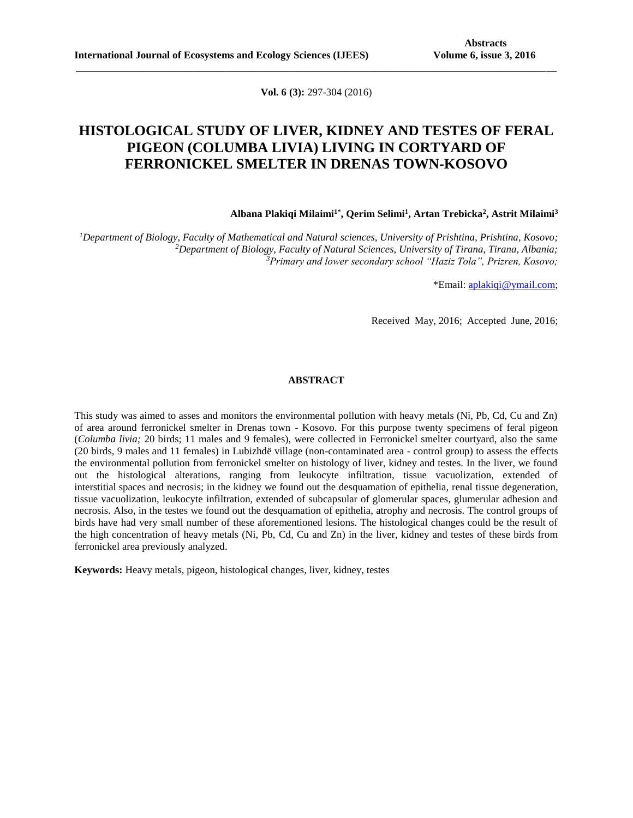**Vol. 6 (3):** 297-304 (2016)

**\_\_\_\_\_\_\_\_\_\_\_\_\_\_\_\_\_\_\_\_\_\_\_\_\_\_\_\_\_\_\_\_\_\_\_\_\_\_\_\_\_\_\_\_\_\_\_\_\_\_\_\_\_\_\_\_\_\_\_\_\_\_\_\_\_\_\_\_\_\_\_\_\_\_\_\_\_\_\_\_\_\_\_\_\_\_\_\_\_\_\_\_\_**

## **HISTOLOGICAL STUDY OF LIVER, KIDNEY AND TESTES OF FERAL PIGEON (COLUMBA LIVIA) LIVING IN CORTYARD OF FERRONICKEL SMELTER IN DRENAS TOWN-KOSOVO**

### **Albana Plakiqi Milaimi1\* , Qerim Selimi<sup>1</sup> , Artan Trebicka<sup>2</sup> , Astrit Milaimi<sup>3</sup>**

*<sup>1</sup>Department of Biology, Faculty of Mathematical and Natural sciences, University of Prishtina, Prishtina, Kosovo; <sup>2</sup>Department of Biology, Faculty of Natural Sciences, University of Tirana, Tirana, Albania; <sup>3</sup>Primary and lower secondary school "Haziz Tola", Prizren, Kosovo;*

\*Email: [aplakiqi@ymail.com;](mailto:aplakiqi@ymail.com)

Received May, 2016; Accepted June, 2016;

### **ABSTRACT**

This study was aimed to asses and monitors the environmental pollution with heavy metals (Ni, Pb, Cd, Cu and Zn) of area around ferronickel smelter in Drenas town - Kosovo. For this purpose twenty specimens of feral pigeon (*Columba livia;* 20 birds; 11 males and 9 females), were collected in Ferronickel smelter courtyard, also the same (20 birds, 9 males and 11 females) in Lubizhdë village (non-contaminated area - control group) to assess the effects the environmental pollution from ferronickel smelter on histology of liver, kidney and testes. In the liver, we found out the histological alterations, ranging from leukocyte infiltration, tissue vacuolization, extended of interstitial spaces and necrosis; in the kidney we found out the desquamation of epithelia, renal tissue degeneration, tissue vacuolization, leukocyte infiltration, extended of subcapsular of glomerular spaces, glumerular adhesion and necrosis. Also, in the testes we found out the desquamation of epithelia, atrophy and necrosis. The control groups of birds have had very small number of these aforementioned lesions. The histological changes could be the result of the high concentration of heavy metals (Ni, Pb, Cd, Cu and Zn) in the liver, kidney and testes of these birds from ferronickel area previously analyzed.

**Keywords:** Heavy metals, pigeon, histological changes, liver, kidney, testes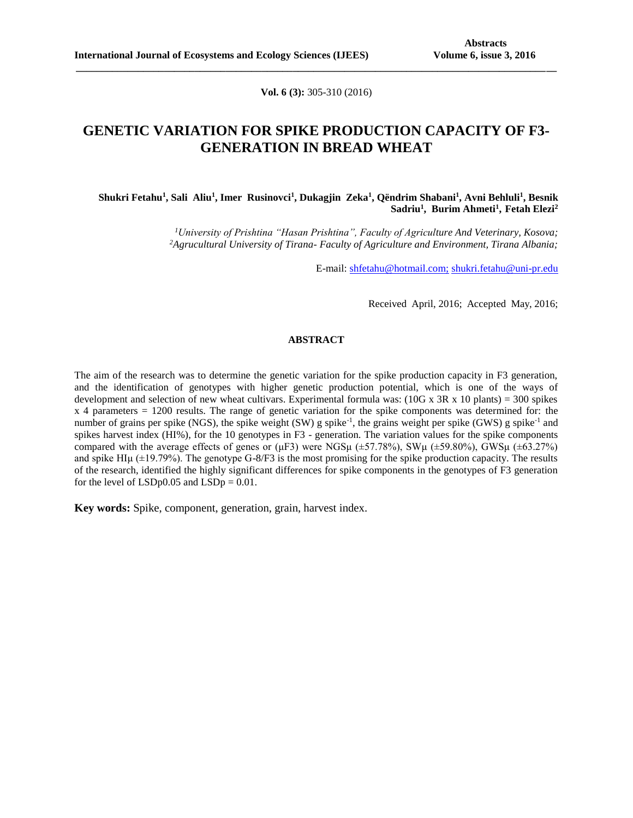**Vol. 6 (3):** 305-310 (2016)

**\_\_\_\_\_\_\_\_\_\_\_\_\_\_\_\_\_\_\_\_\_\_\_\_\_\_\_\_\_\_\_\_\_\_\_\_\_\_\_\_\_\_\_\_\_\_\_\_\_\_\_\_\_\_\_\_\_\_\_\_\_\_\_\_\_\_\_\_\_\_\_\_\_\_\_\_\_\_\_\_\_\_\_\_\_\_\_\_\_\_\_\_\_**

## **GENETIC VARIATION FOR SPIKE PRODUCTION CAPACITY OF F3- GENERATION IN BREAD WHEAT**

### **Shukri Fetahu<sup>1</sup> , Sali Aliu<sup>1</sup> , Imer Rusinovci<sup>1</sup> , Dukagjin Zeka<sup>1</sup> , Qëndrim Shabani<sup>1</sup> , Avni Behluli<sup>1</sup> , Besnik Sadriu<sup>1</sup> , Burim Ahmeti<sup>1</sup> , Fetah Elezi<sup>2</sup>**

*<sup>1</sup>University of Prishtina "Hasan Prishtina", Faculty of Agriculture And Veterinary, Kosova; <sup>2</sup>Agrucultural University of Tirana- Faculty of Agriculture and Environment, Tirana Albania;*

E-mail: [shfetahu@hotmail.com;](mailto:shfetahu@hotmail.com;) [shukri.fetahu@uni-pr.edu](mailto:shukri.fetahu@uni-pr.edu)

Received April, 2016; Accepted May, 2016;

#### **ABSTRACT**

The aim of the research was to determine the genetic variation for the spike production capacity in F3 generation, and the identification of genotypes with higher genetic production potential, which is one of the ways of development and selection of new wheat cultivars. Experimental formula was:  $(10G \times 3R \times 10 \text{ plants}) = 300 \text{ spikes}$ x 4 parameters = 1200 results. The range of genetic variation for the spike components was determined for: the number of grains per spike (NGS), the spike weight (SW) g spike<sup>-1</sup>, the grains weight per spike (GWS) g spike<sup>-1</sup> and spikes harvest index (HI%), for the 10 genotypes in F3 - generation. The variation values for the spike components compared with the average effects of genes or ( $\mu$ F3) were NGS $\mu$  ( $\pm$ 57.78%), SW $\mu$  ( $\pm$ 59.80%), GWS $\mu$  ( $\pm$ 63.27%) and spike HIµ  $(\pm 19.79%)$ . The genotype G-8/F3 is the most promising for the spike production capacity. The results of the research, identified the highly significant differences for spike components in the genotypes of F3 generation for the level of  $LSDp0.05$  and  $LSDp = 0.01$ .

**Key words:** Spike, component, generation, grain, harvest index.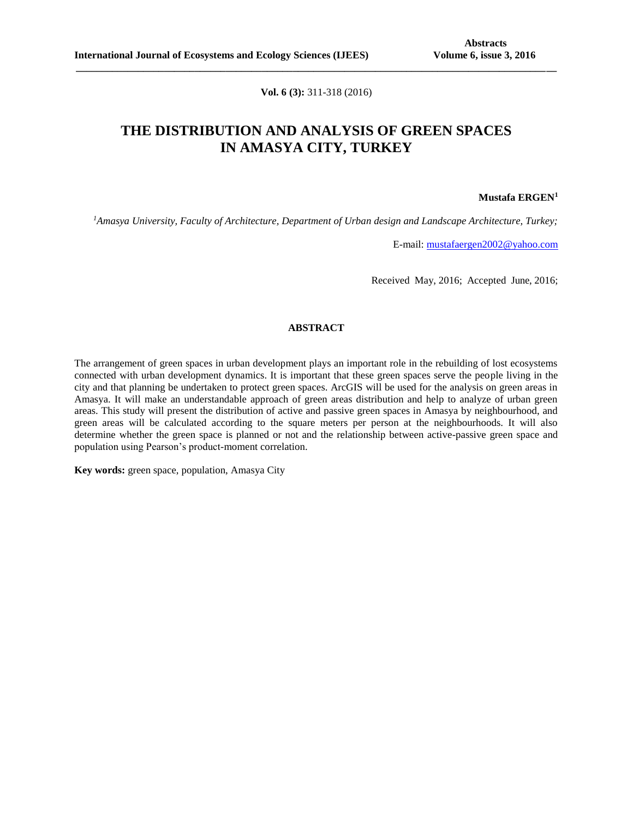**Vol. 6 (3):** 311-318 (2016)

**\_\_\_\_\_\_\_\_\_\_\_\_\_\_\_\_\_\_\_\_\_\_\_\_\_\_\_\_\_\_\_\_\_\_\_\_\_\_\_\_\_\_\_\_\_\_\_\_\_\_\_\_\_\_\_\_\_\_\_\_\_\_\_\_\_\_\_\_\_\_\_\_\_\_\_\_\_\_\_\_\_\_\_\_\_\_\_\_\_\_\_\_\_**

# **THE DISTRIBUTION AND ANALYSIS OF GREEN SPACES IN AMASYA CITY, TURKEY**

#### **Mustafa ERGEN<sup>1</sup>**

*<sup>1</sup>Amasya University, Faculty of Architecture, Department of Urban design and Landscape Architecture, Turkey;*

E-mail: [mustafaergen2002@yahoo.com](mailto:mustafaergen2002@yahoo.com)

Received May, 2016; Accepted June, 2016;

### **ABSTRACT**

The arrangement of green spaces in urban development plays an important role in the rebuilding of lost ecosystems connected with urban development dynamics. It is important that these green spaces serve the people living in the city and that planning be undertaken to protect green spaces. ArcGIS will be used for the analysis on green areas in Amasya. It will make an understandable approach of green areas distribution and help to analyze of urban green areas. This study will present the distribution of active and passive green spaces in Amasya by neighbourhood, and green areas will be calculated according to the square meters per person at the neighbourhoods. It will also determine whether the green space is planned or not and the relationship between active-passive green space and population using Pearson's product-moment correlation.

**Key words:** green space, population, Amasya City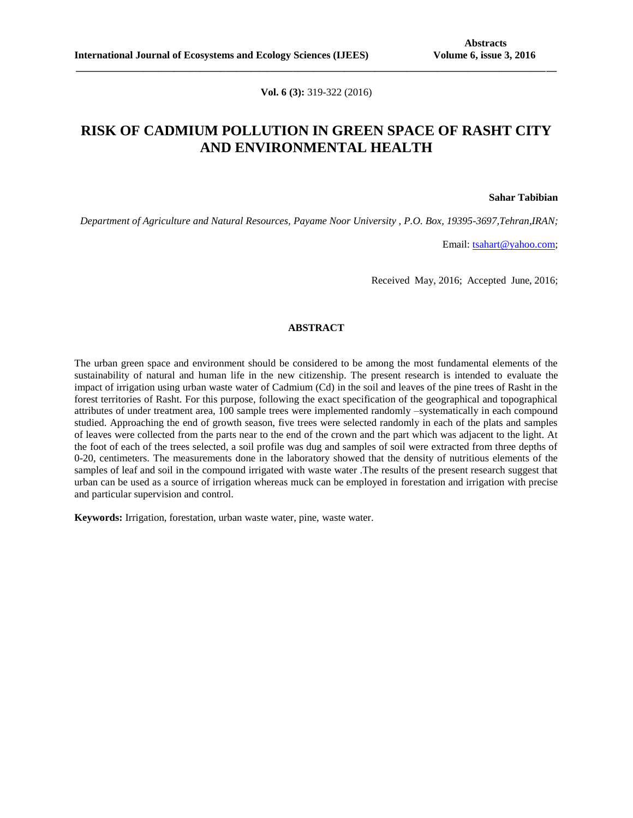**Vol. 6 (3):** 319-322 (2016)

**\_\_\_\_\_\_\_\_\_\_\_\_\_\_\_\_\_\_\_\_\_\_\_\_\_\_\_\_\_\_\_\_\_\_\_\_\_\_\_\_\_\_\_\_\_\_\_\_\_\_\_\_\_\_\_\_\_\_\_\_\_\_\_\_\_\_\_\_\_\_\_\_\_\_\_\_\_\_\_\_\_\_\_\_\_\_\_\_\_\_\_\_\_**

## **RISK OF CADMIUM POLLUTION IN GREEN SPACE OF RASHT CITY AND ENVIRONMENTAL HEALTH**

**Sahar Tabibian**

*Department of Agriculture and Natural Resources, Payame Noor University , P.O. Box, 19395-3697,Tehran,IRAN;*

Email: [tsahart@yahoo.com;](mailto:tsahart@yahoo.com)

Received May, 2016; Accepted June, 2016;

### **ABSTRACT**

The urban green space and environment should be considered to be among the most fundamental elements of the sustainability of natural and human life in the new citizenship. The present research is intended to evaluate the impact of irrigation using urban waste water of Cadmium (Cd) in the soil and leaves of the pine trees of Rasht in the forest territories of Rasht. For this purpose, following the exact specification of the geographical and topographical attributes of under treatment area, 100 sample trees were implemented randomly –systematically in each compound studied. Approaching the end of growth season, five trees were selected randomly in each of the plats and samples of leaves were collected from the parts near to the end of the crown and the part which was adjacent to the light. At the foot of each of the trees selected, a soil profile was dug and samples of soil were extracted from three depths of 0-20, centimeters. The measurements done in the laboratory showed that the density of nutritious elements of the samples of leaf and soil in the compound irrigated with waste water .The results of the present research suggest that urban can be used as a source of irrigation whereas muck can be employed in forestation and irrigation with precise and particular supervision and control.

**Keywords:** Irrigation, forestation, urban waste water, pine, waste water.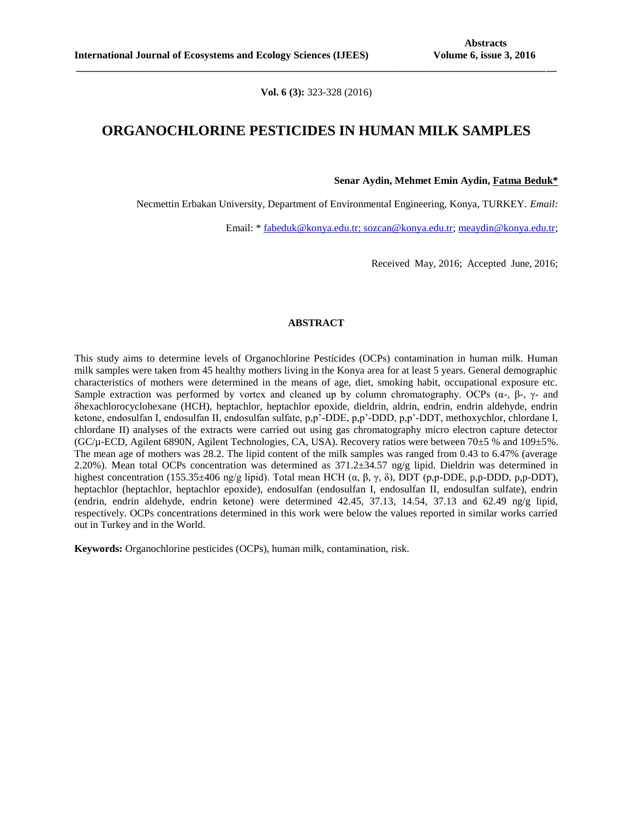**Vol. 6 (3):** 323-328 (2016)

**\_\_\_\_\_\_\_\_\_\_\_\_\_\_\_\_\_\_\_\_\_\_\_\_\_\_\_\_\_\_\_\_\_\_\_\_\_\_\_\_\_\_\_\_\_\_\_\_\_\_\_\_\_\_\_\_\_\_\_\_\_\_\_\_\_\_\_\_\_\_\_\_\_\_\_\_\_\_\_\_\_\_\_\_\_\_\_\_\_\_\_\_\_**

## **ORGANOCHLORINE PESTICIDES IN HUMAN MILK SAMPLES**

**Senar Aydin, Mehmet Emin Aydin, Fatma Beduk\***

Necmettin Erbakan University, Department of Environmental Engineering, Konya, TURKEY. *Email:* 

Email: \* [fabeduk@konya.edu.tr;](mailto:fabeduk@konya.edu.tr) [sozcan@konya.edu.tr;](mailto:sozcan@konya.edu.tr) [meaydin@konya.edu.tr;](mailto:meaydin@konya.edu.tr)

Received May, 2016; Accepted June, 2016;

### **ABSTRACT**

This study aims to determine levels of Organochlorine Pesticides (OCPs) contamination in human milk. Human milk samples were taken from 45 healthy mothers living in the Konya area for at least 5 years. General demographic characteristics of mothers were determined in the means of age, diet, smoking habit, occupational exposure etc. Sample extraction was performed by vortex and cleaned up by column chromatography. OCPs  $(\alpha, \beta, \gamma)$ - and δhexachlorocyclohexane (HCH), heptachlor, heptachlor epoxide, dieldrin, aldrin, endrin, endrin aldehyde, endrin ketone, endosulfan I, endosulfan II, endosulfan sulfate, p,p'-DDE, p,p'-DDD, p,p'-DDT, methoxychlor, chlordane I, chlordane II) analyses of the extracts were carried out using gas chromatography micro electron capture detector (GC/µ-ECD, Agilent 6890N, Agilent Technologies, CA, USA). Recovery ratios were between 70±5 % and 109±5%. The mean age of mothers was 28.2. The lipid content of the milk samples was ranged from 0.43 to 6.47% (average 2.20%). Mean total OCPs concentration was determined as  $371.2\pm34.57$  ng/g lipid. Dieldrin was determined in highest concentration (155.35±406 ng/g lipid). Total mean HCH (α, β, γ, δ), DDT (p,p-DDE, p,p-DDD, p,p-DDT), heptachlor (heptachlor, heptachlor epoxide), endosulfan (endosulfan I, endosulfan II, endosulfan sulfate), endrin (endrin, endrin aldehyde, endrin ketone) were determined 42.45, 37.13, 14.54, 37.13 and 62.49 ng/g lipid, respectively. OCPs concentrations determined in this work were below the values reported in similar works carried out in Turkey and in the World.

**Keywords:** Organochlorine pesticides (OCPs), human milk, contamination, risk.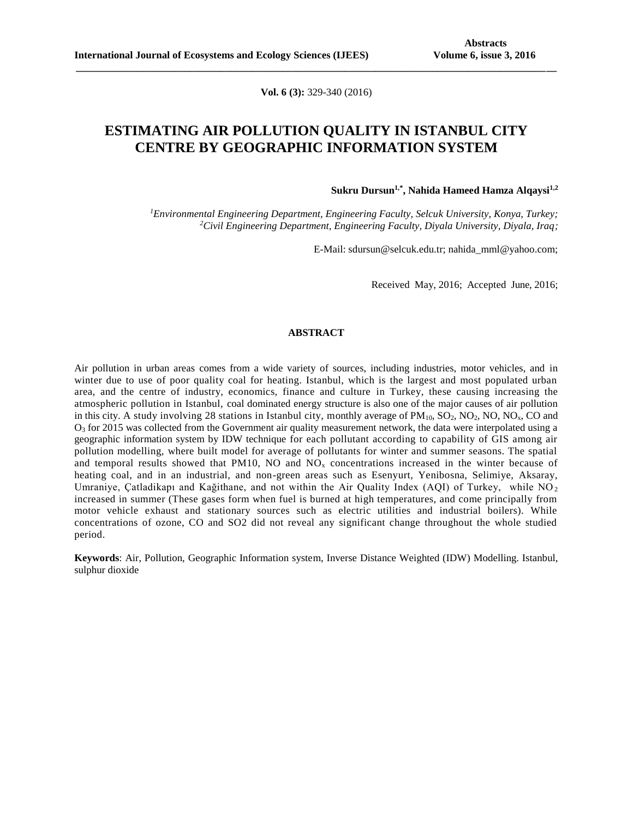**Vol. 6 (3):** 329-340 (2016)

**\_\_\_\_\_\_\_\_\_\_\_\_\_\_\_\_\_\_\_\_\_\_\_\_\_\_\_\_\_\_\_\_\_\_\_\_\_\_\_\_\_\_\_\_\_\_\_\_\_\_\_\_\_\_\_\_\_\_\_\_\_\_\_\_\_\_\_\_\_\_\_\_\_\_\_\_\_\_\_\_\_\_\_\_\_\_\_\_\_\_\_\_\_**

## **ESTIMATING AIR POLLUTION QUALITY IN ISTANBUL CITY CENTRE BY GEOGRAPHIC INFORMATION SYSTEM**

**Sukru Dursun1,\*, Nahida Hameed Hamza Alqaysi1,2**

*<sup>1</sup>Environmental Engineering Department, Engineering Faculty, Selcuk University, Konya, Turkey; <sup>2</sup>Civil Engineering Department, Engineering Faculty, Diyala University, Diyala, Iraq;*

E-Mail: sdursun@selcuk.edu.tr; nahida\_mml@yahoo.com;

Received May, 2016; Accepted June, 2016;

### **ABSTRACT**

Air pollution in urban areas comes from a wide variety of sources, including industries, motor vehicles, and in winter due to use of poor quality coal for heating. Istanbul, which is the largest and most populated urban area, and the centre of industry, economics, finance and culture in Turkey, these causing increasing the atmospheric pollution in Istanbul, coal dominated energy structure is also one of the major causes of air pollution in this city. A study involving 28 stations in Istanbul city, monthly average of  $PM_{10}$ ,  $SO_2$ , NO<sub>2</sub>, NO<sub>3</sub>, CO and  $O<sub>3</sub>$  for 2015 was collected from the Government air quality measurement network, the data were interpolated using a geographic information system by IDW technique for each pollutant according to capability of GIS among air pollution modelling, where built model for average of pollutants for winter and summer seasons. The spatial and temporal results showed that PM10, NO and  $N\overline{O}_x$  concentrations increased in the winter because of heating coal, and in an industrial, and non-green areas such as Esenyurt, Yenibosna, Selimiye, Aksaray, Umraniye, Çatladikapı and Kağithane, and not within the Air Quality Index (AQI) of Turkey, while NO<sub>2</sub> increased in summer (These gases form when fuel is burned at high temperatures, and come principally from motor vehicle exhaust and stationary sources such as electric utilities and industrial boilers). While concentrations of ozone, CO and SO2 did not reveal any significant change throughout the whole studied period.

**Keywords**: Air, Pollution, Geographic Information system, Inverse Distance Weighted (IDW) Modelling. Istanbul, sulphur dioxide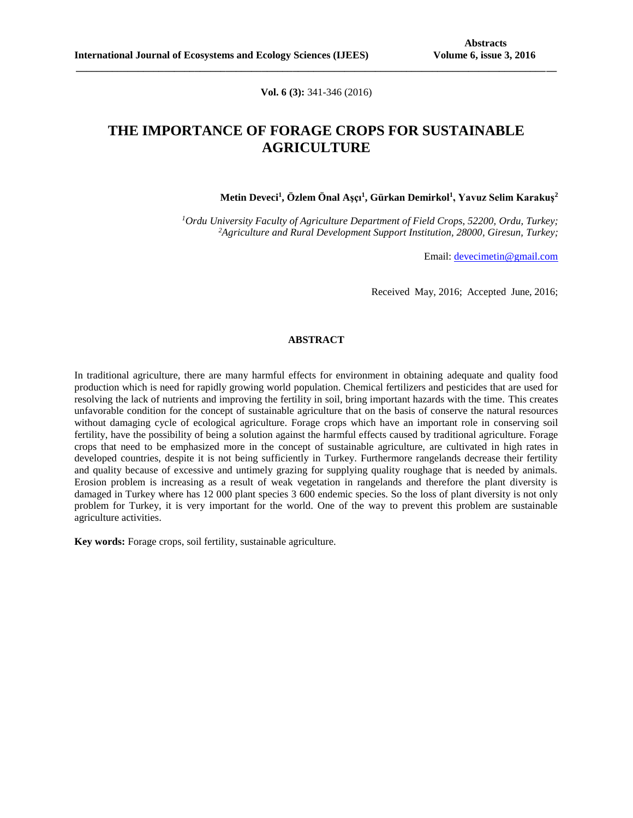**Vol. 6 (3):** 341-346 (2016)

**\_\_\_\_\_\_\_\_\_\_\_\_\_\_\_\_\_\_\_\_\_\_\_\_\_\_\_\_\_\_\_\_\_\_\_\_\_\_\_\_\_\_\_\_\_\_\_\_\_\_\_\_\_\_\_\_\_\_\_\_\_\_\_\_\_\_\_\_\_\_\_\_\_\_\_\_\_\_\_\_\_\_\_\_\_\_\_\_\_\_\_\_\_**

# **THE IMPORTANCE OF FORAGE CROPS FOR SUSTAINABLE AGRICULTURE**

**Metin Deveci<sup>1</sup> , Özlem Önal Aşçı<sup>1</sup> , Gürkan Demirkol<sup>1</sup> , Yavuz Selim Karakuş<sup>2</sup>**

*<sup>1</sup>Ordu University Faculty of Agriculture Department of Field Crops, 52200, Ordu, Turkey; <sup>2</sup>Agriculture and Rural Development Support Institution, 28000, Giresun, Turkey;*

Email: [devecimetin@gmail.com](mailto:devecimetin@gmail.com)

Received May, 2016; Accepted June, 2016;

#### **ABSTRACT**

In traditional agriculture, there are many harmful effects for environment in obtaining adequate and quality food production which is need for rapidly growing world population. Chemical fertilizers and pesticides that are used for resolving the lack of nutrients and improving the fertility in soil, bring important hazards with the time. This creates unfavorable condition for the concept of sustainable agriculture that on the basis of conserve the natural resources without damaging cycle of ecological agriculture. Forage crops which have an important role in conserving soil fertility, have the possibility of being a solution against the harmful effects caused by traditional agriculture. Forage crops that need to be emphasized more in the concept of sustainable agriculture, are cultivated in high rates in developed countries, despite it is not being sufficiently in Turkey. Furthermore rangelands decrease their fertility and quality because of excessive and untimely grazing for supplying quality roughage that is needed by animals. Erosion problem is increasing as a result of weak vegetation in rangelands and therefore the plant diversity is damaged in Turkey where has 12 000 plant species 3 600 endemic species. So the loss of plant diversity is not only problem for Turkey, it is very important for the world. One of the way to prevent this problem are sustainable agriculture activities.

**Key words:** Forage crops, soil fertility, sustainable agriculture.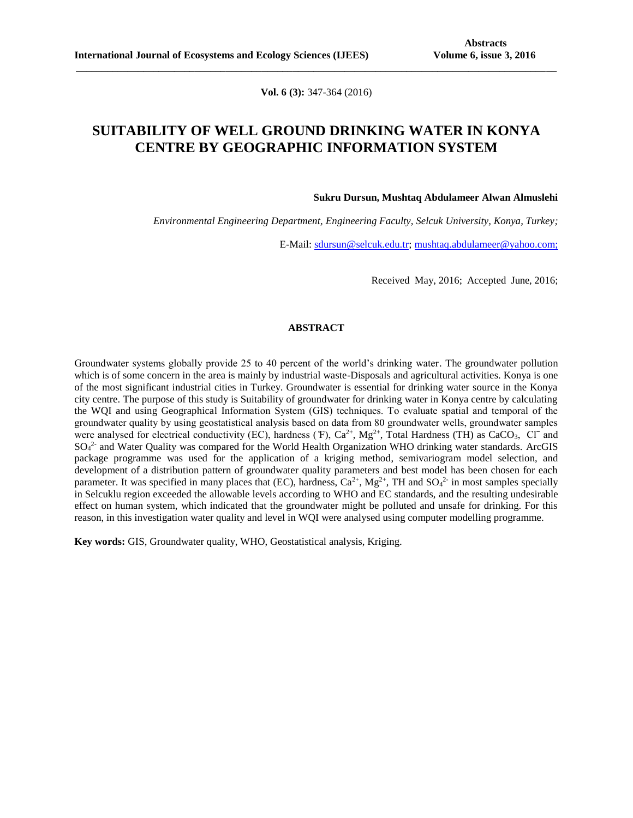**Vol. 6 (3):** 347-364 (2016)

**\_\_\_\_\_\_\_\_\_\_\_\_\_\_\_\_\_\_\_\_\_\_\_\_\_\_\_\_\_\_\_\_\_\_\_\_\_\_\_\_\_\_\_\_\_\_\_\_\_\_\_\_\_\_\_\_\_\_\_\_\_\_\_\_\_\_\_\_\_\_\_\_\_\_\_\_\_\_\_\_\_\_\_\_\_\_\_\_\_\_\_\_\_**

## **SUITABILITY OF WELL GROUND DRINKING WATER IN KONYA CENTRE BY GEOGRAPHIC INFORMATION SYSTEM**

**Sukru Dursun, Mushtaq Abdulameer Alwan Almuslehi**

*Environmental Engineering Department, Engineering Faculty, Selcuk University, Konya, Turkey;*

E-Mail: [sdursun@selcuk.edu.tr;](mailto:sdursun@selcuk.edu.tr) [mushtaq.abdulameer@yahoo.com;](mailto:mushtaq.abdulameer@yahoo.com)

Received May, 2016; Accepted June, 2016;

### **ABSTRACT**

Groundwater systems globally provide 25 to 40 percent of the world's drinking water. The groundwater pollution which is of some concern in the area is mainly by industrial waste-Disposals and agricultural activities. Konya is one of the most significant industrial cities in Turkey. Groundwater is essential for drinking water source in the Konya city centre. The purpose of this study is Suitability of groundwater for drinking water in Konya centre by calculating the WQI and using Geographical Information System (GIS) techniques. To evaluate spatial and temporal of the groundwater quality by using geostatistical analysis based on data from 80 groundwater wells, groundwater samples were analysed for electrical conductivity (EC), hardness ( $F$ ), Ca<sup>2+</sup>, Mg<sup>2+</sup>, Total Hardness (TH) as CaCO<sub>3</sub>, Cl<sup>−</sup> and SO<sub>4</sub><sup>2-</sup> and Water Quality was compared for the World Health Organization WHO drinking water standards. ArcGIS package programme was used for the application of a kriging method, semivariogram model selection, and development of a distribution pattern of groundwater quality parameters and best model has been chosen for each parameter. It was specified in many places that (EC), hardness,  $Ca^{2+}$ ,  $Mg^{2+}$ , TH and  $SO_4{}^{2-}$  in most samples specially in Selcuklu region exceeded the allowable levels according to WHO and EC standards, and the resulting undesirable effect on human system, which indicated that the groundwater might be polluted and unsafe for drinking. For this reason, in this investigation water quality and level in WQI were analysed using computer modelling programme.

**Key words:** GIS, Groundwater quality, WHO, Geostatistical analysis, Kriging.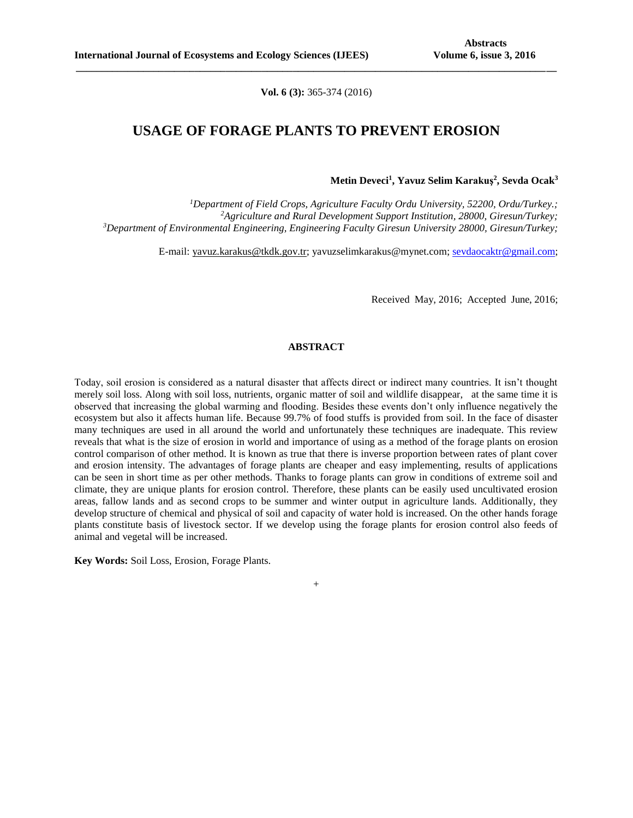**Vol. 6 (3):** 365-374 (2016)

**\_\_\_\_\_\_\_\_\_\_\_\_\_\_\_\_\_\_\_\_\_\_\_\_\_\_\_\_\_\_\_\_\_\_\_\_\_\_\_\_\_\_\_\_\_\_\_\_\_\_\_\_\_\_\_\_\_\_\_\_\_\_\_\_\_\_\_\_\_\_\_\_\_\_\_\_\_\_\_\_\_\_\_\_\_\_\_\_\_\_\_\_\_**

## **USAGE OF FORAGE PLANTS TO PREVENT EROSION**

#### **Metin Deveci<sup>1</sup> , Yavuz Selim Karakuş<sup>2</sup> , Sevda Ocak<sup>3</sup>**

*<sup>1</sup>Department of Field Crops, Agriculture Faculty Ordu University, 52200, Ordu/Turkey.; <sup>2</sup>Agriculture and Rural Development Support Institution, 28000, Giresun/Turkey; <sup>3</sup>Department of Environmental Engineering, Engineering Faculty Giresun University 28000, Giresun/Turkey;*

E-mail: [yavuz.karakus@tkdk.gov.tr;](mailto:yavuz.karakus@tkdk.gov.tr) [yavuzselimkarakus@mynet.com;](mailto:yavuzselimkarakus@mynet.com) [sevdaocaktr@gmail.com;](mailto:sevdaocaktr@gmail.com)

Received May, 2016; Accepted June, 2016;

## **ABSTRACT**

Today, soil erosion is considered as a natural disaster that affects direct or indirect many countries. It isn't thought merely soil loss. Along with soil loss, nutrients, organic matter of soil and wildlife disappear, at the same time it is observed that increasing the global warming and flooding. Besides these events don't only influence negatively the ecosystem but also it affects human life. Because 99.7% of food stuffs is provided from soil. In the face of disaster many techniques are used in all around the world and unfortunately these techniques are inadequate. This review reveals that what is the size of erosion in world and importance of using as a method of the forage plants on erosion control comparison of other method. It is known as true that there is inverse proportion between rates of plant cover and erosion intensity. The advantages of forage plants are cheaper and easy implementing, results of applications can be seen in short time as per other methods. Thanks to forage plants can grow in conditions of extreme soil and climate, they are unique plants for erosion control. Therefore, these plants can be easily used uncultivated erosion areas, fallow lands and as second crops to be summer and winter output in agriculture lands. Additionally, they develop structure of chemical and physical of soil and capacity of water hold is increased. On the other hands forage plants constitute basis of livestock sector. If we develop using the forage plants for erosion control also feeds of animal and vegetal will be increased.

**Key Words:** Soil Loss, Erosion, Forage Plants.

+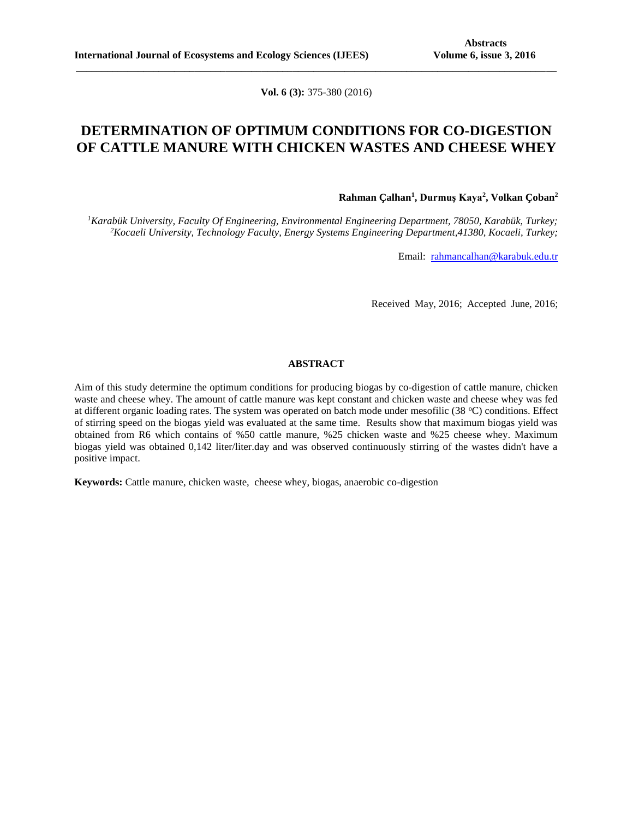**Vol. 6 (3):** 375-380 (2016)

**\_\_\_\_\_\_\_\_\_\_\_\_\_\_\_\_\_\_\_\_\_\_\_\_\_\_\_\_\_\_\_\_\_\_\_\_\_\_\_\_\_\_\_\_\_\_\_\_\_\_\_\_\_\_\_\_\_\_\_\_\_\_\_\_\_\_\_\_\_\_\_\_\_\_\_\_\_\_\_\_\_\_\_\_\_\_\_\_\_\_\_\_\_**

## **DETERMINATION OF OPTIMUM CONDITIONS FOR CO-DIGESTION OF CATTLE MANURE WITH CHICKEN WASTES AND CHEESE WHEY**

### **Rahman Çalhan<sup>1</sup> , Durmuş Kaya<sup>2</sup> , Volkan Çoban<sup>2</sup>**

*<sup>1</sup>Karabük University, Faculty Of Engineering, Environmental Engineering Department, 78050, Karabük, Turkey; <sup>2</sup>Kocaeli University, Technology Faculty, Energy Systems Engineering Department,41380, Kocaeli, Turkey;*

Email: [rahmancalhan@karabuk.edu.tr](mailto:rahmancalhan@karabuk.edu.tr)

Received May, 2016; Accepted June, 2016;

## **ABSTRACT**

Aim of this study determine the optimum conditions for producing biogas by co-digestion of cattle manure, chicken waste and cheese whey. The amount of cattle manure was kept constant and chicken waste and cheese whey was fed at different organic loading rates. The system was operated on batch mode under mesofilic (38  $^{\circ}$ C) conditions. Effect of stirring speed on the biogas yield was evaluated at the same time. Results show that maximum biogas yield was obtained from R6 which contains of %50 cattle manure, %25 chicken waste and %25 cheese whey. Maximum biogas yield was obtained 0,142 liter/liter.day and was observed continuously stirring of the wastes didn't have a positive impact.

**Keywords:** Cattle manure, chicken waste, cheese whey, biogas, anaerobic co-digestion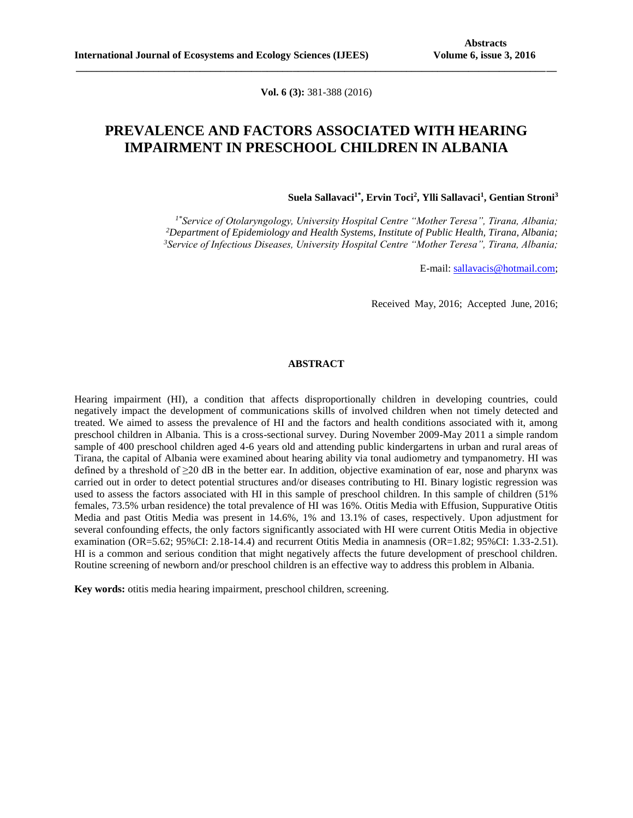**Vol. 6 (3):** 381-388 (2016)

**\_\_\_\_\_\_\_\_\_\_\_\_\_\_\_\_\_\_\_\_\_\_\_\_\_\_\_\_\_\_\_\_\_\_\_\_\_\_\_\_\_\_\_\_\_\_\_\_\_\_\_\_\_\_\_\_\_\_\_\_\_\_\_\_\_\_\_\_\_\_\_\_\_\_\_\_\_\_\_\_\_\_\_\_\_\_\_\_\_\_\_\_\_**

## **PREVALENCE AND FACTORS ASSOCIATED WITH HEARING IMPAIRMENT IN PRESCHOOL CHILDREN IN ALBANIA**

### **Suela Sallavaci1\*, Ervin Toci<sup>2</sup> , Ylli Sallavaci<sup>1</sup> , Gentian Stroni<sup>3</sup>**

*1\*Service of Otolaryngology, University Hospital Centre "Mother Teresa", Tirana, Albania; <sup>2</sup>Department of Epidemiology and Health Systems, Institute of Public Health, Tirana, Albania; <sup>3</sup>Service of Infectious Diseases, University Hospital Centre "Mother Teresa", Tirana, Albania;*

E-mail: [sallavacis@hotmail.com;](mailto:sallavacis@hotmail.com)

Received May, 2016; Accepted June, 2016;

### **ABSTRACT**

Hearing impairment (HI), a condition that affects disproportionally children in developing countries, could negatively impact the development of communications skills of involved children when not timely detected and treated. We aimed to assess the prevalence of HI and the factors and health conditions associated with it, among preschool children in Albania. This is a cross-sectional survey. During November 2009-May 2011 a simple random sample of 400 preschool children aged 4-6 years old and attending public kindergartens in urban and rural areas of Tirana, the capital of Albania were examined about hearing ability via tonal audiometry and tympanometry. HI was defined by a threshold of ≥20 dB in the better ear. In addition, objective examination of ear, nose and pharynx was carried out in order to detect potential structures and/or diseases contributing to HI. Binary logistic regression was used to assess the factors associated with HI in this sample of preschool children. In this sample of children (51% females, 73.5% urban residence) the total prevalence of HI was 16%. Otitis Media with Effusion, Suppurative Otitis Media and past Otitis Media was present in 14.6%, 1% and 13.1% of cases, respectively. Upon adjustment for several confounding effects, the only factors significantly associated with HI were current Otitis Media in objective examination (OR=5.62; 95%CI: 2.18-14.4) and recurrent Otitis Media in anamnesis (OR=1.82; 95%CI: 1.33-2.51). HI is a common and serious condition that might negatively affects the future development of preschool children. Routine screening of newborn and/or preschool children is an effective way to address this problem in Albania.

**Key words:** otitis media hearing impairment, preschool children, screening.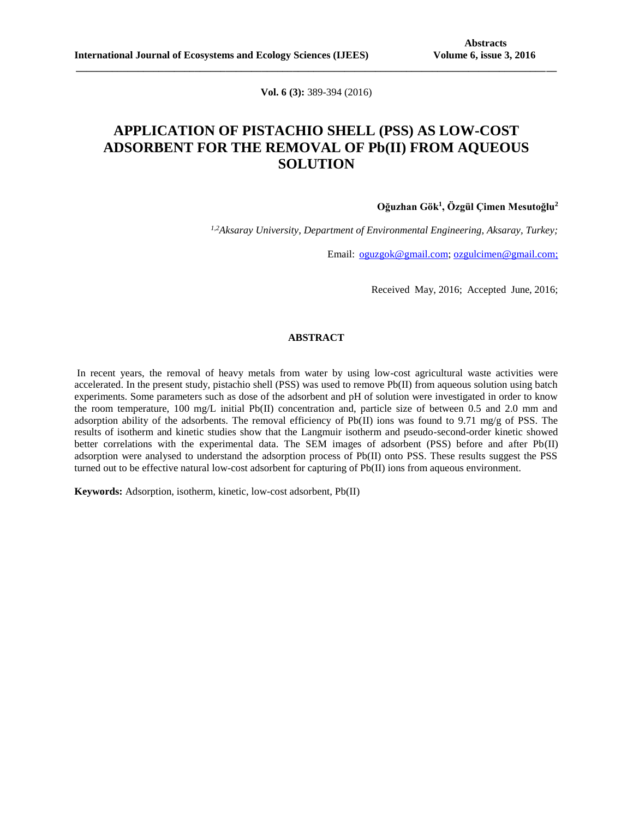**Vol. 6 (3):** 389-394 (2016)

**\_\_\_\_\_\_\_\_\_\_\_\_\_\_\_\_\_\_\_\_\_\_\_\_\_\_\_\_\_\_\_\_\_\_\_\_\_\_\_\_\_\_\_\_\_\_\_\_\_\_\_\_\_\_\_\_\_\_\_\_\_\_\_\_\_\_\_\_\_\_\_\_\_\_\_\_\_\_\_\_\_\_\_\_\_\_\_\_\_\_\_\_\_**

# **APPLICATION OF PISTACHIO SHELL (PSS) AS LOW-COST ADSORBENT FOR THE REMOVAL OF Pb(II) FROM AQUEOUS SOLUTION**

### **Oğuzhan Gök<sup>1</sup> , Özgül Çimen Mesutoğlu<sup>2</sup>**

*1,2Aksaray University, Department of Environmental Engineering, Aksaray, Turkey;*

Email: [oguzgok@gmail.com;](mailto:oguzgok@gmail.com) [ozgulcimen@gmail.com;](mailto:ozgulcimen@gmail.com)

Received May, 2016; Accepted June, 2016;

#### **ABSTRACT**

In recent years, the removal of heavy metals from water by using low-cost agricultural waste activities were accelerated. In the present study, pistachio shell (PSS) was used to remove Pb(II) from aqueous solution using batch experiments. Some parameters such as dose of the adsorbent and pH of solution were investigated in order to know the room temperature, 100 mg/L initial Pb(II) concentration and, particle size of between 0.5 and 2.0 mm and adsorption ability of the adsorbents. The removal efficiency of Pb(II) ions was found to 9.71 mg/g of PSS. The results of isotherm and kinetic studies show that the Langmuir isotherm and pseudo-second-order kinetic showed better correlations with the experimental data. The SEM images of adsorbent (PSS) before and after Pb(II) adsorption were analysed to understand the adsorption process of Pb(II) onto PSS. These results suggest the PSS turned out to be effective natural low-cost adsorbent for capturing of Pb(II) ions from aqueous environment.

**Keywords:** Adsorption, isotherm, kinetic, low-cost adsorbent, Pb(II)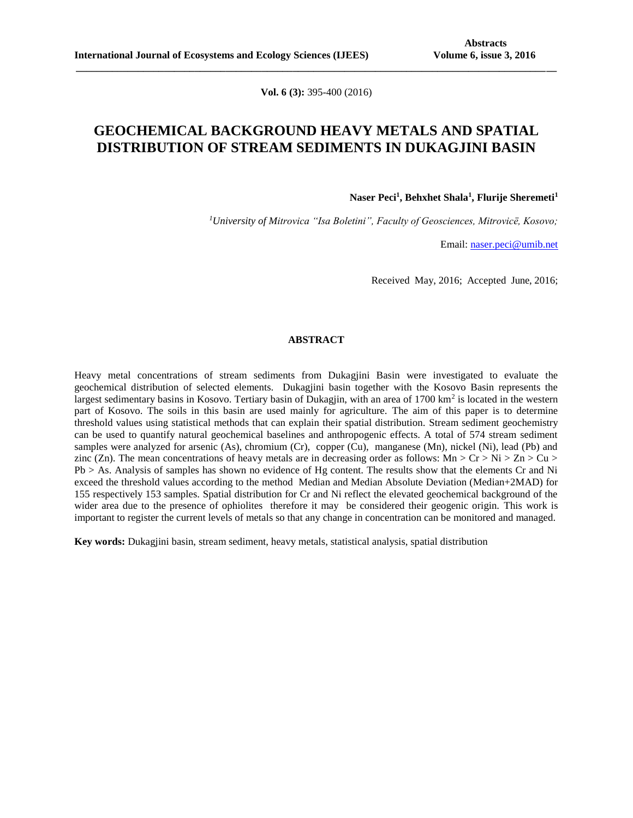**Vol. 6 (3):** 395-400 (2016)

**\_\_\_\_\_\_\_\_\_\_\_\_\_\_\_\_\_\_\_\_\_\_\_\_\_\_\_\_\_\_\_\_\_\_\_\_\_\_\_\_\_\_\_\_\_\_\_\_\_\_\_\_\_\_\_\_\_\_\_\_\_\_\_\_\_\_\_\_\_\_\_\_\_\_\_\_\_\_\_\_\_\_\_\_\_\_\_\_\_\_\_\_\_**

## **GEOCHEMICAL BACKGROUND HEAVY METALS AND SPATIAL DISTRIBUTION OF STREAM SEDIMENTS IN DUKAGJINI BASIN**

**Naser Peci<sup>1</sup> , Behxhet Shala<sup>1</sup> , Flurije Sheremeti<sup>1</sup>**

*<sup>1</sup>University of Mitrovica "Isa Boletini", Faculty of Geosciences, Mitrovicë, Kosovo;* 

Email: [naser.peci@umib.net](mailto:naser.peci@umib.net)

Received May, 2016; Accepted June, 2016;

#### **ABSTRACT**

Heavy metal concentrations of stream sediments from Dukagjini Basin were investigated to evaluate the geochemical distribution of selected elements. Dukagjini basin together with the Kosovo Basin represents the largest sedimentary basins in Kosovo. Tertiary basin of Dukagjin, with an area of 1700 km<sup>2</sup> is located in the western part of Kosovo. The soils in this basin are used mainly for agriculture. The aim of this paper is to determine threshold values using statistical methods that can explain their spatial distribution. Stream sediment geochemistry can be used to quantify natural geochemical baselines and anthropogenic effects. A total of 574 stream sediment samples were analyzed for arsenic (As), chromium (Cr), copper (Cu), manganese (Mn), nickel (Ni), lead (Pb) and zinc (Zn). The mean concentrations of heavy metals are in decreasing order as follows: Mn > Cr > Ni > Zn > Cu > Pb > As. Analysis of samples has shown no evidence of Hg content. The results show that the elements Cr and Ni exceed the threshold values according to the method Median and Median Absolute Deviation (Median+2MAD) for 155 respectively 153 samples. Spatial distribution for Cr and Ni reflect the elevated geochemical background of the wider area due to the presence of ophiolites therefore it may be considered their geogenic origin. This work is important to register the current levels of metals so that any change in concentration can be monitored and managed.

**Key words:** Dukagjini basin, stream sediment, heavy metals, statistical analysis, spatial distribution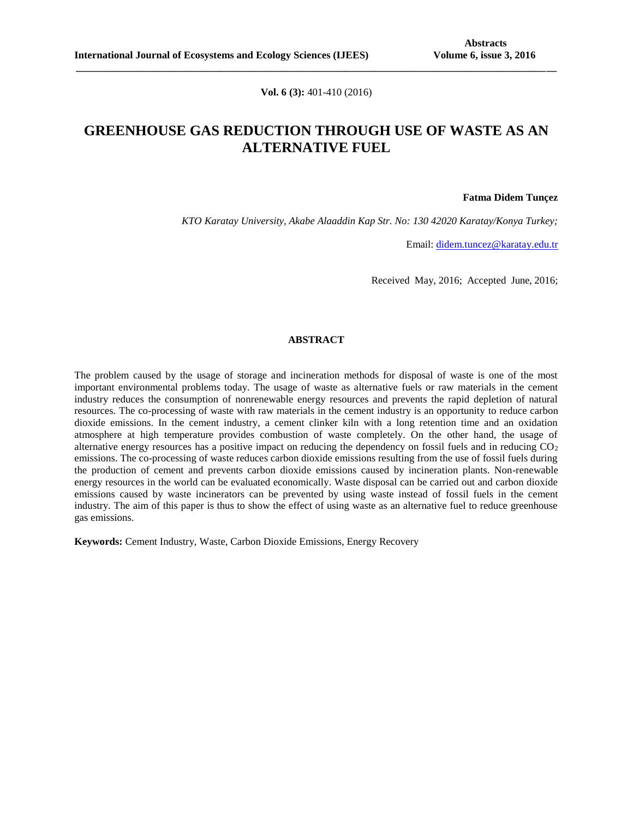**Vol. 6 (3):** 401-410 (2016)

**\_\_\_\_\_\_\_\_\_\_\_\_\_\_\_\_\_\_\_\_\_\_\_\_\_\_\_\_\_\_\_\_\_\_\_\_\_\_\_\_\_\_\_\_\_\_\_\_\_\_\_\_\_\_\_\_\_\_\_\_\_\_\_\_\_\_\_\_\_\_\_\_\_\_\_\_\_\_\_\_\_\_\_\_\_\_\_\_\_\_\_\_\_**

# **GREENHOUSE GAS REDUCTION THROUGH USE OF WASTE AS AN ALTERNATIVE FUEL**

**Fatma Didem Tunçez**

*KTO Karatay University, Akabe Alaaddin Kap Str. No: 130 42020 Karatay/Konya Turkey;*

Email: [didem.tuncez@karatay.edu.tr](mailto:didem.tuncez@karatay.edu.tr)

Received May, 2016; Accepted June, 2016;

## **ABSTRACT**

The problem caused by the usage of storage and incineration methods for disposal of waste is one of the most important environmental problems today. The usage of waste as alternative fuels or raw materials in the cement industry reduces the consumption of nonrenewable energy resources and prevents the rapid depletion of natural resources. The co-processing of waste with raw materials in the cement industry is an opportunity to reduce carbon dioxide emissions. In the cement industry, a cement clinker kiln with a long retention time and an oxidation atmosphere at high temperature provides combustion of waste completely. On the other hand, the usage of alternative energy resources has a positive impact on reducing the dependency on fossil fuels and in reducing  $CO<sub>2</sub>$ emissions. The co-processing of waste reduces carbon dioxide emissions resulting from the use of fossil fuels during the production of cement and prevents carbon dioxide emissions caused by incineration plants. Non-renewable energy resources in the world can be evaluated economically. Waste disposal can be carried out and carbon dioxide emissions caused by waste incinerators can be prevented by using waste instead of fossil fuels in the cement industry. The aim of this paper is thus to show the effect of using waste as an alternative fuel to reduce greenhouse gas emissions.

**Keywords:** Cement Industry, Waste, Carbon Dioxide Emissions, Energy Recovery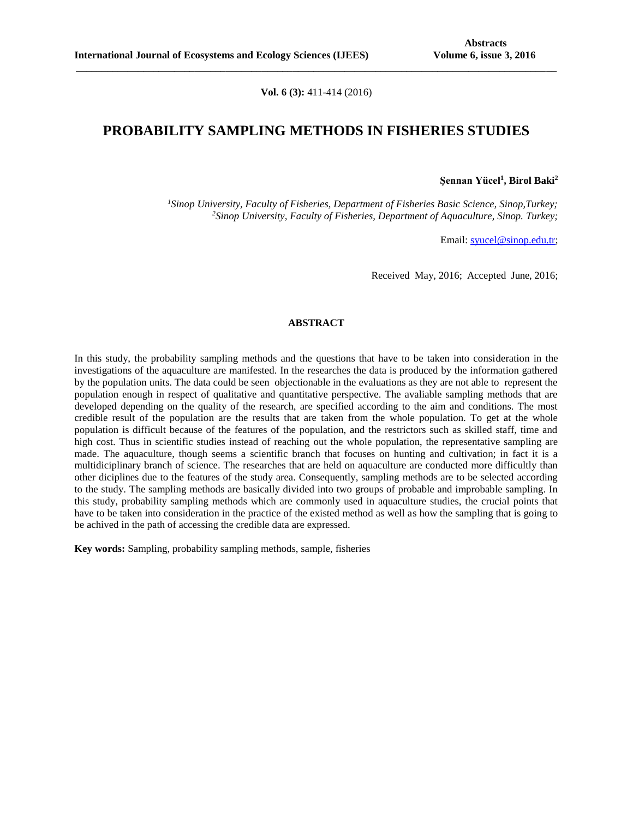**Vol. 6 (3):** 411-414 (2016)

**\_\_\_\_\_\_\_\_\_\_\_\_\_\_\_\_\_\_\_\_\_\_\_\_\_\_\_\_\_\_\_\_\_\_\_\_\_\_\_\_\_\_\_\_\_\_\_\_\_\_\_\_\_\_\_\_\_\_\_\_\_\_\_\_\_\_\_\_\_\_\_\_\_\_\_\_\_\_\_\_\_\_\_\_\_\_\_\_\_\_\_\_\_**

## **PROBABILITY SAMPLING METHODS IN FISHERIES STUDIES**

**Şennan Yücel<sup>1</sup> , Birol Baki<sup>2</sup>**

*<sup>1</sup>Sinop University, Faculty of Fisheries, Department of Fisheries Basic Science, Sinop,Turkey; <sup>2</sup>Sinop University, Faculty of Fisheries, Department of Aquaculture, Sinop. Turkey;*

Email: [syucel@sinop.edu.tr;](mailto:syucel@sinop.edu.tr)

Received May, 2016; Accepted June, 2016;

### **ABSTRACT**

In this study, the probability sampling methods and the questions that have to be taken into consideration in the investigations of the aquaculture are manifested. In the researches the data is produced by the information gathered by the population units. The data could be seen objectionable in the evaluations as they are not able to represent the population enough in respect of qualitative and quantitative perspective. The avaliable sampling methods that are developed depending on the quality of the research, are specified according to the aim and conditions. The most credible result of the population are the results that are taken from the whole population. To get at the whole population is difficult because of the features of the population, and the restrictors such as skilled staff, time and high cost. Thus in scientific studies instead of reaching out the whole population, the representative sampling are made. The [aquaculture,](http://sufak.sinop.edu.tr/) though seems a scientific branch that focuses on hunting and cultivation; in fact it is a multidiciplinary branch of science. The researches that are held on aquaculture are conducted more difficultly than other diciplines due to the features of the study area. Consequently, sampling methods are to be selected according to the study. The sampling methods are basically divided into two groups of probable and improbable sampling. In this study, probability sampling methods which are commonly used in aquaculture studies, the crucial points that have to be taken into consideration in the practice of the existed method as well as how the sampling that is going to be achived in the path of accessing the credible data are expressed.

**Key words:** Sampling, probability sampling methods, sample, fisheries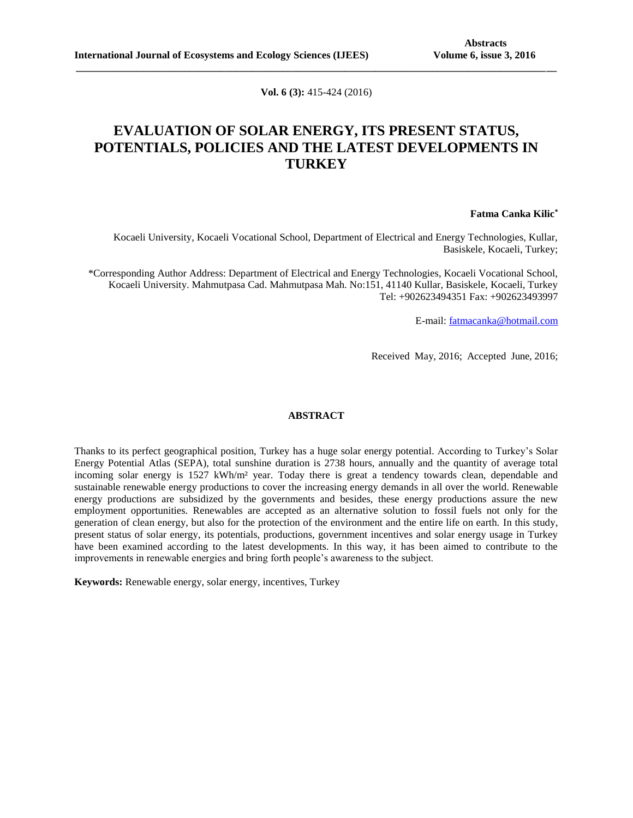**Vol. 6 (3):** 415-424 (2016)

**\_\_\_\_\_\_\_\_\_\_\_\_\_\_\_\_\_\_\_\_\_\_\_\_\_\_\_\_\_\_\_\_\_\_\_\_\_\_\_\_\_\_\_\_\_\_\_\_\_\_\_\_\_\_\_\_\_\_\_\_\_\_\_\_\_\_\_\_\_\_\_\_\_\_\_\_\_\_\_\_\_\_\_\_\_\_\_\_\_\_\_\_\_**

# **EVALUATION OF SOLAR ENERGY, ITS PRESENT STATUS, POTENTIALS, POLICIES AND THE LATEST DEVELOPMENTS IN TURKEY**

### **Fatma Canka Kilic\***

Kocaeli University, Kocaeli Vocational School, Department of Electrical and Energy Technologies, Kullar, Basiskele, Kocaeli, Turkey;

\*Corresponding Author Address: Department of Electrical and Energy Technologies, Kocaeli Vocational School, Kocaeli University. Mahmutpasa Cad. Mahmutpasa Mah. No:151, 41140 Kullar, Basiskele, Kocaeli, Turkey Tel: +902623494351 Fax: +902623493997

E-mail: [fatmacanka@hotmail.com](mailto:fatmacanka@hotmail.com)

Received May, 2016; Accepted June, 2016;

### **ABSTRACT**

Thanks to its perfect geographical position, Turkey has a huge solar energy potential. According to Turkey's Solar Energy Potential Atlas (SEPA), total sunshine duration is 2738 hours, annually and the quantity of average total incoming solar energy is 1527 kWh/m<sup>2</sup> year. Today there is great a tendency towards clean, dependable and sustainable renewable energy productions to cover the increasing energy demands in all over the world. Renewable energy productions are subsidized by the governments and besides, these energy productions assure the new employment opportunities. Renewables are accepted as an alternative solution to fossil fuels not only for the generation of clean energy, but also for the protection of the environment and the entire life on earth. In this study, present status of solar energy, its potentials, productions, government incentives and solar energy usage in Turkey have been examined according to the latest developments. In this way, it has been aimed to contribute to the improvements in renewable energies and bring forth people's awareness to the subject.

**Keywords:** Renewable energy, solar energy, incentives, Turkey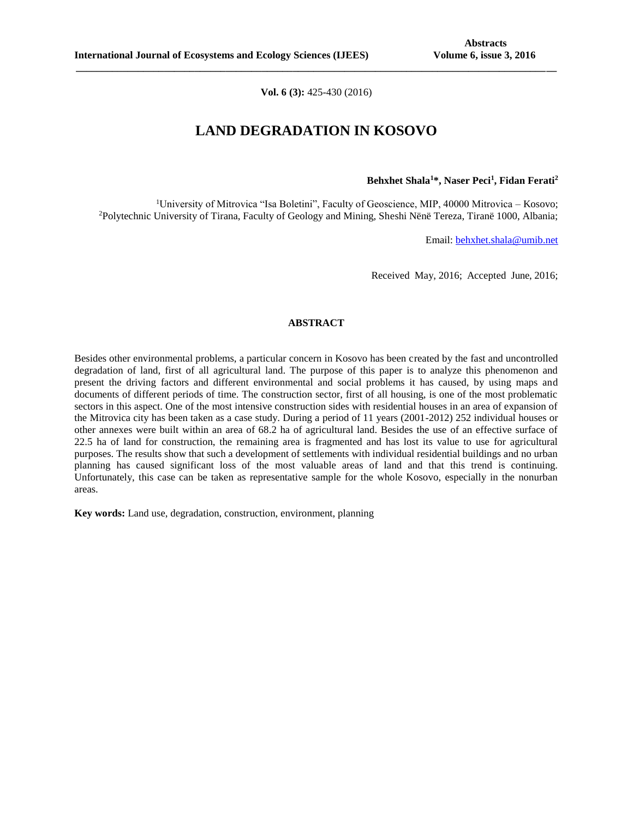**Vol. 6 (3):** 425-430 (2016)

**\_\_\_\_\_\_\_\_\_\_\_\_\_\_\_\_\_\_\_\_\_\_\_\_\_\_\_\_\_\_\_\_\_\_\_\_\_\_\_\_\_\_\_\_\_\_\_\_\_\_\_\_\_\_\_\_\_\_\_\_\_\_\_\_\_\_\_\_\_\_\_\_\_\_\_\_\_\_\_\_\_\_\_\_\_\_\_\_\_\_\_\_\_**

## **LAND DEGRADATION IN KOSOVO**

**Behxhet Shala<sup>1</sup>\*, Naser Peci<sup>1</sup> , Fidan Ferati<sup>2</sup>**

<sup>1</sup>University of Mitrovica "Isa Boletini", Faculty of Geoscience, MIP, 40000 Mitrovica – Kosovo; <sup>2</sup>Polytechnic University of Tirana, Faculty of Geology and Mining, Sheshi Nënë Tereza, Tiranë 1000, Albania;

Email: [behxhet.shala@umib.net](mailto:behxhet.shala@umib.net)

Received May, 2016; Accepted June, 2016;

## **ABSTRACT**

Besides other environmental problems, a particular concern in Kosovo has been created by the fast and uncontrolled degradation of land, first of all agricultural land. The purpose of this paper is to analyze this phenomenon and present the driving factors and different environmental and social problems it has caused, by using maps and documents of different periods of time. The construction sector, first of all housing, is one of the most problematic sectors in this aspect. One of the most intensive construction sides with residential houses in an area of expansion of the Mitrovica city has been taken as a case study. During a period of 11 years (2001-2012) 252 individual houses or other annexes were built within an area of 68.2 ha of agricultural land. Besides the use of an effective surface of 22.5 ha of land for construction, the remaining area is fragmented and has lost its value to use for agricultural purposes. The results show that such a development of settlements with individual residential buildings and no urban planning has caused significant loss of the most valuable areas of land and that this trend is continuing. Unfortunately, this case can be taken as representative sample for the whole Kosovo, especially in the nonurban areas.

**Key words:** Land use, degradation, construction, environment, planning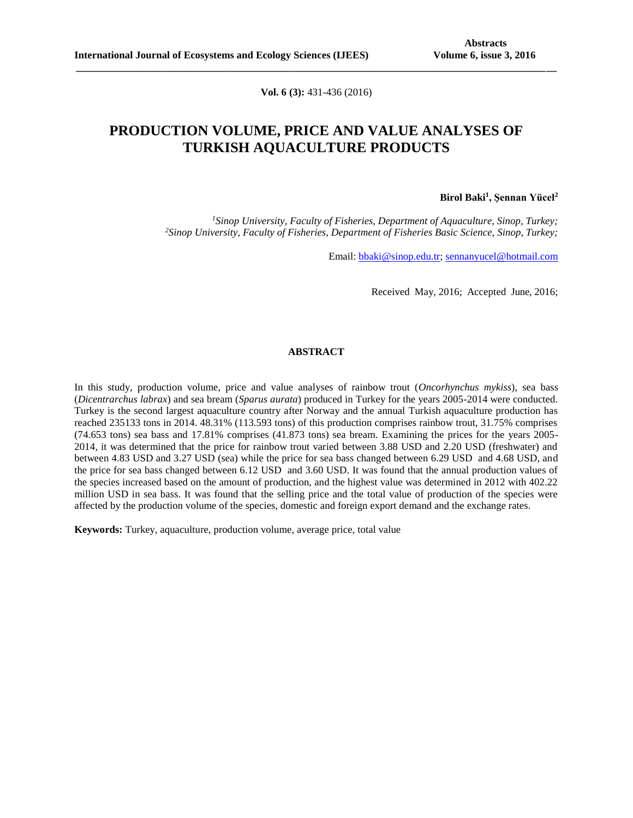**Vol. 6 (3):** 431-436 (2016)

**\_\_\_\_\_\_\_\_\_\_\_\_\_\_\_\_\_\_\_\_\_\_\_\_\_\_\_\_\_\_\_\_\_\_\_\_\_\_\_\_\_\_\_\_\_\_\_\_\_\_\_\_\_\_\_\_\_\_\_\_\_\_\_\_\_\_\_\_\_\_\_\_\_\_\_\_\_\_\_\_\_\_\_\_\_\_\_\_\_\_\_\_\_**

# **PRODUCTION VOLUME, PRICE AND VALUE ANALYSES OF TURKISH AQUACULTURE PRODUCTS**

### **Birol Baki<sup>1</sup> , Şennan Yücel<sup>2</sup>**

*<sup>1</sup>Sinop University, Faculty of Fisheries, Department of Aquaculture, Sinop, Turkey; <sup>2</sup>Sinop University, Faculty of Fisheries, Department of Fisheries Basic Science, Sinop, Turkey;*

Email: [bbaki@sinop.edu.tr;](mailto:bbaki@sinop.edu.tr) [sennanyucel@hotmail.com](mailto:sennanyucel@hotmail.com)

Received May, 2016; Accepted June, 2016;

### **ABSTRACT**

In this study, production volume, price and value analyses of rainbow trout (*Oncorhynchus mykiss*), sea bass (*Dicentrarchus labrax*) and sea bream (*Sparus aurata*) produced in Turkey for the years 2005-2014 were conducted. Turkey is the second largest aquaculture country after Norway and the annual Turkish aquaculture production has reached 235133 tons in 2014. 48.31% (113.593 tons) of this production comprises rainbow trout, 31.75% comprises (74.653 tons) sea bass and 17.81% comprises (41.873 tons) sea bream. Examining the prices for the years 2005- 2014, it was determined that the price for rainbow trout varied between 3.88 USD and 2.20 USD (freshwater) and between 4.83 USD and 3.27 USD (sea) while the price for sea bass changed between 6.29 USD and 4.68 USD, and the price for sea bass changed between 6.12 USD and 3.60 USD. It was found that the annual production values of the species increased based on the amount of production, and the highest value was determined in 2012 with 402.22 million USD in sea bass. It was found that the selling price and the total value of production of the species were affected by the production volume of the species, domestic and foreign export demand and the exchange rates.

**Keywords:** Turkey, aquaculture, production volume, average price, total value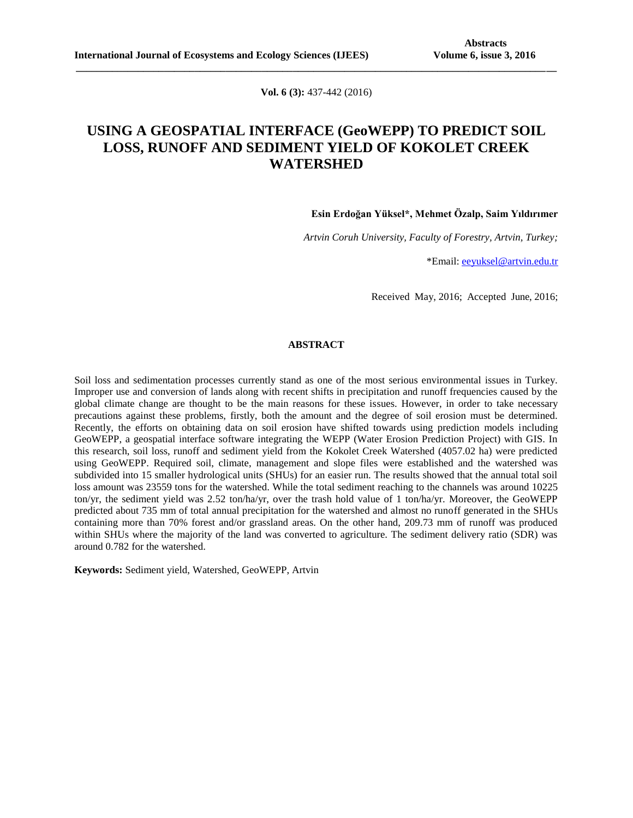**Vol. 6 (3):** 437-442 (2016)

**\_\_\_\_\_\_\_\_\_\_\_\_\_\_\_\_\_\_\_\_\_\_\_\_\_\_\_\_\_\_\_\_\_\_\_\_\_\_\_\_\_\_\_\_\_\_\_\_\_\_\_\_\_\_\_\_\_\_\_\_\_\_\_\_\_\_\_\_\_\_\_\_\_\_\_\_\_\_\_\_\_\_\_\_\_\_\_\_\_\_\_\_\_**

# **USING A GEOSPATIAL INTERFACE (GeoWEPP) TO PREDICT SOIL LOSS, RUNOFF AND SEDIMENT YIELD OF KOKOLET CREEK WATERSHED**

**Esin Erdoğan Yüksel\*, Mehmet Özalp, Saim Yıldırımer**

*Artvin Coruh University, Faculty of Forestry, Artvin, Turkey;*

\*Email: [eeyuksel@artvin.edu.tr](mailto:eeyuksel@artvin.edu.tr)

Received May, 2016; Accepted June, 2016;

### **ABSTRACT**

Soil loss and sedimentation processes currently stand as one of the most serious environmental issues in Turkey. Improper use and conversion of lands along with recent shifts in precipitation and runoff frequencies caused by the global climate change are thought to be the main reasons for these issues. However, in order to take necessary precautions against these problems, firstly, both the amount and the degree of soil erosion must be determined. Recently, the efforts on obtaining data on soil erosion have shifted towards using prediction models including GeoWEPP, a geospatial interface software integrating the WEPP (Water Erosion Prediction Project) with GIS. In this research, soil loss, runoff and sediment yield from the Kokolet Creek Watershed (4057.02 ha) were predicted using GeoWEPP. Required soil, climate, management and slope files were established and the watershed was subdivided into 15 smaller hydrological units (SHUs) for an easier run. The results showed that the annual total soil loss amount was 23559 tons for the watershed. While the total sediment reaching to the channels was around 10225 ton/yr, the sediment yield was 2.52 ton/ha/yr, over the trash hold value of 1 ton/ha/yr. Moreover, the GeoWEPP predicted about 735 mm of total annual precipitation for the watershed and almost no runoff generated in the SHUs containing more than 70% forest and/or grassland areas. On the other hand, 209.73 mm of runoff was produced within SHUs where the majority of the land was converted to agriculture. The sediment delivery ratio (SDR) was around 0.782 for the watershed.

**Keywords:** Sediment yield, Watershed, GeoWEPP, Artvin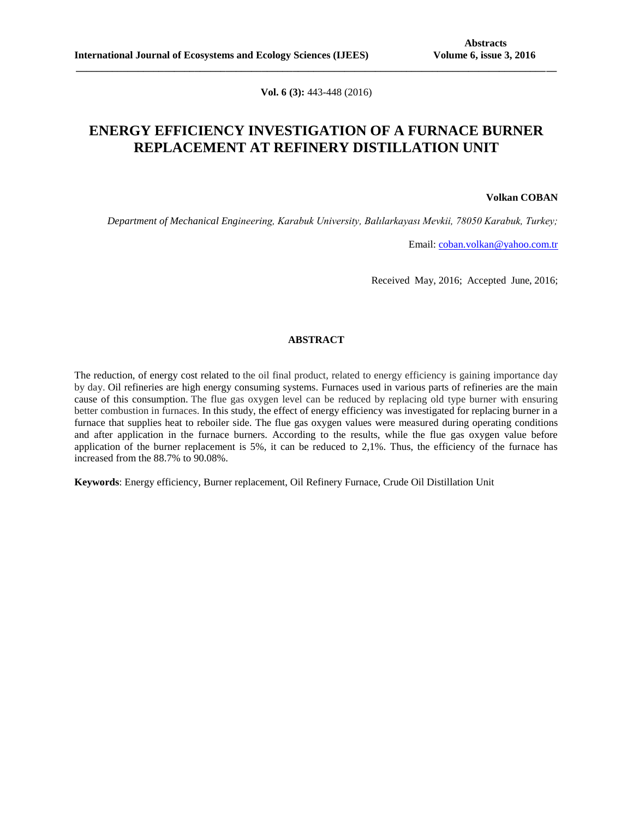**Vol. 6 (3):** 443-448 (2016)

**\_\_\_\_\_\_\_\_\_\_\_\_\_\_\_\_\_\_\_\_\_\_\_\_\_\_\_\_\_\_\_\_\_\_\_\_\_\_\_\_\_\_\_\_\_\_\_\_\_\_\_\_\_\_\_\_\_\_\_\_\_\_\_\_\_\_\_\_\_\_\_\_\_\_\_\_\_\_\_\_\_\_\_\_\_\_\_\_\_\_\_\_\_**

# **ENERGY EFFICIENCY INVESTIGATION OF A FURNACE BURNER REPLACEMENT AT REFINERY DISTILLATION UNIT**

#### **Volkan COBAN**

*Department of Mechanical Engineering, Karabuk University, Balılarkayası Mevkii, 78050 Karabuk, Turkey;*

Email: [coban.volkan@yahoo.com.tr](mailto:coban.volkan@yahoo.com.tr)

Received May, 2016; Accepted June, 2016;

## **ABSTRACT**

The reduction, of energy cost related to the oil final product, related to energy efficiency is gaining importance day by day. Oil refineries are high energy consuming systems. Furnaces used in various parts of refineries are the main cause of this consumption. The flue gas oxygen level can be reduced by replacing old type burner with ensuring better combustion in furnaces. In this study, the effect of energy efficiency was investigated for replacing burner in a furnace that supplies heat to reboiler side. The flue gas oxygen values were measured during operating conditions and after application in the furnace burners. According to the results, while the flue gas oxygen value before application of the burner replacement is 5%, it can be reduced to 2,1%. Thus, the efficiency of the furnace has increased from the 88.7% to 90.08%.

**Keywords**: Energy efficiency, Burner replacement, Oil Refinery Furnace, Crude Oil Distillation Unit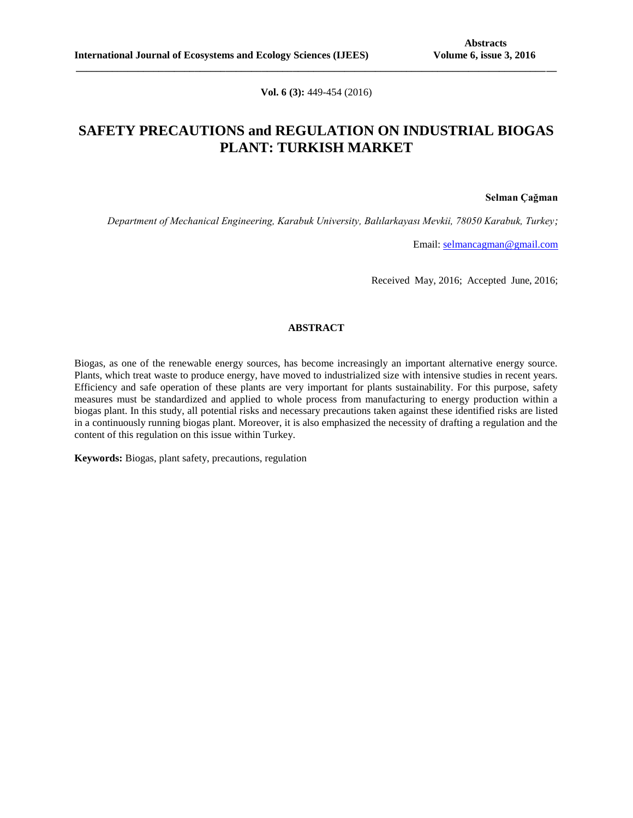**Vol. 6 (3):** 449-454 (2016)

**\_\_\_\_\_\_\_\_\_\_\_\_\_\_\_\_\_\_\_\_\_\_\_\_\_\_\_\_\_\_\_\_\_\_\_\_\_\_\_\_\_\_\_\_\_\_\_\_\_\_\_\_\_\_\_\_\_\_\_\_\_\_\_\_\_\_\_\_\_\_\_\_\_\_\_\_\_\_\_\_\_\_\_\_\_\_\_\_\_\_\_\_\_**

# **SAFETY PRECAUTIONS and REGULATION ON INDUSTRIAL BIOGAS PLANT: TURKISH MARKET**

**Selman Çağman**

*Department of Mechanical Engineering, Karabuk University, Balılarkayası Mevkii, 78050 Karabuk, Turkey;*

Email: [selmancagman@gmail.com](mailto:selmancagman@gmail.com)

Received May, 2016; Accepted June, 2016;

### **ABSTRACT**

Biogas, as one of the renewable energy sources, has become increasingly an important alternative energy source. Plants, which treat waste to produce energy, have moved to industrialized size with intensive studies in recent years. Efficiency and safe operation of these plants are very important for plants sustainability. For this purpose, safety measures must be standardized and applied to whole process from manufacturing to energy production within a biogas plant. In this study, all potential risks and necessary precautions taken against these identified risks are listed in a continuously running biogas plant. Moreover, it is also emphasized the necessity of drafting a regulation and the content of this regulation on this issue within Turkey.

**Keywords:** Biogas, plant safety, precautions, regulation